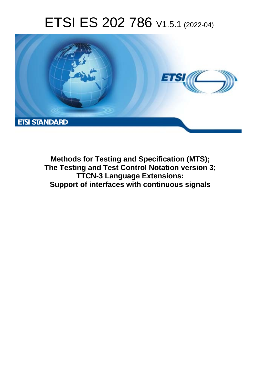# ETSI ES 202 786 V1.5.1 (2022-04)



**Methods for Testing and Specification (MTS); The Testing and Test Control Notation version 3; TTCN-3 Language Extensions: Support of interfaces with continuous signals**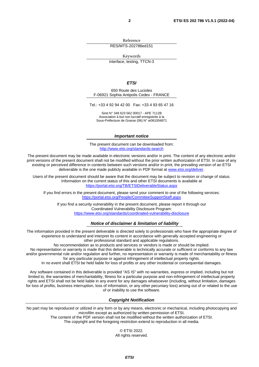Reference RES/MTS-202786ed151

Keywords

interface, testing, TTCN-3

#### *ETSI*

650 Route des Lucioles F-06921 Sophia Antipolis Cedex - FRANCE

Tel.: +33 4 92 94 42 00 Fax: +33 4 93 65 47 16

Siret N° 348 623 562 00017 - APE 7112B Association à but non lucratif enregistrée à la Sous-Préfecture de Grasse (06) N° w061004871

#### *Important notice*

The present document can be downloaded from: <http://www.etsi.org/standards-search>

The present document may be made available in electronic versions and/or in print. The content of any electronic and/or print versions of the present document shall not be modified without the prior written authorization of ETSI. In case of any existing or perceived difference in contents between such versions and/or in print, the prevailing version of an ETSI deliverable is the one made publicly available in PDF format at [www.etsi.org/deliver](http://www.etsi.org/deliver).

Users of the present document should be aware that the document may be subject to revision or change of status. Information on the current status of this and other ETSI documents is available at <https://portal.etsi.org/TB/ETSIDeliverableStatus.aspx>

If you find errors in the present document, please send your comment to one of the following services: <https://portal.etsi.org/People/CommiteeSupportStaff.aspx>

If you find a security vulnerability in the present document, please report it through our Coordinated Vulnerability Disclosure Program: <https://www.etsi.org/standards/coordinated-vulnerability-disclosure>

#### *Notice of disclaimer & limitation of liability*

The information provided in the present deliverable is directed solely to professionals who have the appropriate degree of experience to understand and interpret its content in accordance with generally accepted engineering or other professional standard and applicable regulations.

No recommendation as to products and services or vendors is made or should be implied.

No representation or warranty is made that this deliverable is technically accurate or sufficient or conforms to any law and/or governmental rule and/or regulation and further, no representation or warranty is made of merchantability or fitness for any particular purpose or against infringement of intellectual property rights.

In no event shall ETSI be held liable for loss of profits or any other incidental or consequential damages.

Any software contained in this deliverable is provided "AS IS" with no warranties, express or implied, including but not limited to, the warranties of merchantability, fitness for a particular purpose and non-infringement of intellectual property rights and ETSI shall not be held liable in any event for any damages whatsoever (including, without limitation, damages for loss of profits, business interruption, loss of information, or any other pecuniary loss) arising out of or related to the use of or inability to use the software.

#### *Copyright Notification*

No part may be reproduced or utilized in any form or by any means, electronic or mechanical, including photocopying and microfilm except as authorized by written permission of ETSI.

> The content of the PDF version shall not be modified without the written authorization of ETSI. The copyright and the foregoing restriction extend to reproduction in all media.

> > © ETSI 2022.

All rights reserved.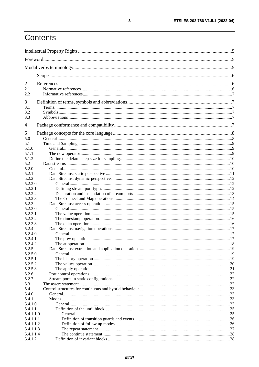# Contents

| 1          |  |
|------------|--|
| 2<br>2.1   |  |
| 2.2<br>3   |  |
| 3.1        |  |
| 3.2<br>3.3 |  |
| 4          |  |
| 5          |  |
| 5.0        |  |
| 5.1        |  |
| 5.1.0      |  |
| 5.1.1      |  |
| 5.1.2      |  |
| 5.2        |  |
| 5.2.0      |  |
| 5.2.1      |  |
| 5.2.2      |  |
| 5.2.2.0    |  |
| 5.2.2.1    |  |
| 5.2.2.2    |  |
| 5.2.2.3    |  |
| 5.2.3      |  |
| 5.2.3.0    |  |
| 5.2.3.1    |  |
| 5.2.3.2    |  |
| 5.2.3.3    |  |
| 5.2.4      |  |
| 5.2.4.0    |  |
| 5.2.4.1    |  |
| 5.2.4.2    |  |
| 5.2.5      |  |
| 5.2.5.0    |  |
| 5.2.5.1    |  |
| 5.2.5.2    |  |
| 5.2.5.3    |  |
| 5.2.6      |  |
| 5.2.7      |  |
| 5.3        |  |
| 5.4        |  |
| 5.4.0      |  |
| 5.4.1      |  |
| 5.4.1.0    |  |
| 5.4.1.1    |  |
| 5.4.1.1.0  |  |
| 5.4.1.1.1  |  |
| 5.4.1.1.2  |  |
| 5.4.1.1.3  |  |
| 5.4.1.1.4  |  |
| 5.4.1.2    |  |
|            |  |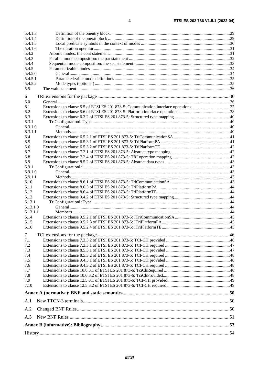| 5.4.1.3          |                                                                                     |  |
|------------------|-------------------------------------------------------------------------------------|--|
| 5.4.1.4          |                                                                                     |  |
| 5.4.1.5          |                                                                                     |  |
| 5.4.1.6          |                                                                                     |  |
| 5.4.2            |                                                                                     |  |
| 5.4.3            |                                                                                     |  |
| 5.4.4            |                                                                                     |  |
| 5.4.5<br>5.4.5.0 |                                                                                     |  |
| 5.4.5.1          |                                                                                     |  |
| 5.4.5.2          |                                                                                     |  |
| 5.5              |                                                                                     |  |
|                  |                                                                                     |  |
| 6                |                                                                                     |  |
| 6.0              |                                                                                     |  |
| 6.1              | Extensions to clause 5.5 of ETSI ES 201 873-5: Communication interface operations37 |  |
| 6.2              |                                                                                     |  |
| 6.3<br>6.3.1     |                                                                                     |  |
| 6.3.1.0          |                                                                                     |  |
| 6.3.1.1          |                                                                                     |  |
| 6.4              |                                                                                     |  |
| 6.5              |                                                                                     |  |
| 6.6              |                                                                                     |  |
| 6.7              |                                                                                     |  |
| 6.8              |                                                                                     |  |
| 6.9              |                                                                                     |  |
| 6.9.1            |                                                                                     |  |
| 6.9.1.0          |                                                                                     |  |
| 6.9.1.1          |                                                                                     |  |
| 6.10             |                                                                                     |  |
| 6.11             |                                                                                     |  |
| 6.12             |                                                                                     |  |
| 6.13             |                                                                                     |  |
| 6.13.1           |                                                                                     |  |
| 6.13.1.0         |                                                                                     |  |
| 6.13.1.1<br>6.14 |                                                                                     |  |
| 6.15             |                                                                                     |  |
| 6.16             |                                                                                     |  |
|                  |                                                                                     |  |
| $\tau$           |                                                                                     |  |
| 7.1              |                                                                                     |  |
| 7.2              |                                                                                     |  |
| 7.3              |                                                                                     |  |
| 7.4              |                                                                                     |  |
| 7.5              |                                                                                     |  |
| 7.6              |                                                                                     |  |
| 7.7<br>7.8       |                                                                                     |  |
| 7.9              |                                                                                     |  |
| 7.10             |                                                                                     |  |
|                  |                                                                                     |  |
|                  |                                                                                     |  |
| A.1              |                                                                                     |  |
| A.2              |                                                                                     |  |
| A.3              |                                                                                     |  |
|                  |                                                                                     |  |
|                  |                                                                                     |  |
|                  |                                                                                     |  |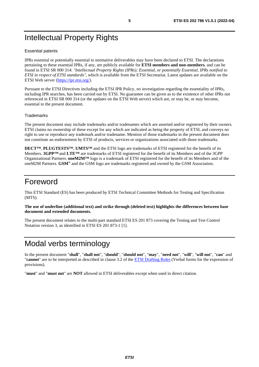# <span id="page-4-0"></span>Intellectual Property Rights

#### Essential patents

IPRs essential or potentially essential to normative deliverables may have been declared to ETSI. The declarations pertaining to these essential IPRs, if any, are publicly available for **ETSI members and non-members**, and can be found in ETSI SR 000 314: *"Intellectual Property Rights (IPRs); Essential, or potentially Essential, IPRs notified to ETSI in respect of ETSI standards"*, which is available from the ETSI Secretariat. Latest updates are available on the ETSI Web server ([https://ipr.etsi.org/\)](https://ipr.etsi.org/).

Pursuant to the ETSI Directives including the ETSI IPR Policy, no investigation regarding the essentiality of IPRs, including IPR searches, has been carried out by ETSI. No guarantee can be given as to the existence of other IPRs not referenced in ETSI SR 000 314 (or the updates on the ETSI Web server) which are, or may be, or may become, essential to the present document.

#### **Trademarks**

The present document may include trademarks and/or tradenames which are asserted and/or registered by their owners. ETSI claims no ownership of these except for any which are indicated as being the property of ETSI, and conveys no right to use or reproduce any trademark and/or tradename. Mention of those trademarks in the present document does not constitute an endorsement by ETSI of products, services or organizations associated with those trademarks.

**DECT™**, **PLUGTESTS™**, **UMTS™** and the ETSI logo are trademarks of ETSI registered for the benefit of its Members. **3GPP™** and **LTE™** are trademarks of ETSI registered for the benefit of its Members and of the 3GPP Organizational Partners. **oneM2M™** logo is a trademark of ETSI registered for the benefit of its Members and of the oneM2M Partners. **GSM**® and the GSM logo are trademarks registered and owned by the GSM Association.

### Foreword

This ETSI Standard (ES) has been produced by ETSI Technical Committee Methods for Testing and Specification (MTS).

#### **The use of underline (additional text) and strike through (deleted text) highlights the differences between base document and extended documents.**

The present document relates to the multi-part standard ETSI ES 201 873 covering the Testing and Test Control Notation version 3, as identified in ETSI ES 201 873-1 [\[1\]](#page-5-0).

## Modal verbs terminology

In the present document "**shall**", "**shall not**", "**should**", "**should not**", "**may**", "**need not**", "**will**", "**will not**", "**can**" and "**cannot**" are to be interpreted as described in clause 3.2 of the [ETSI Drafting Rules](https://portal.etsi.org/Services/editHelp!/Howtostart/ETSIDraftingRules.aspx) (Verbal forms for the expression of provisions).

"**must**" and "**must not**" are **NOT** allowed in ETSI deliverables except when used in direct citation.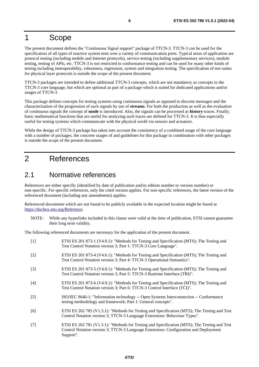### <span id="page-5-0"></span>1 Scope

The present document defines the "Continuous Signal support" package of TTCN-3. TTCN-3 can be used for the specification of all types of reactive system tests over a variety of communication ports. Typical areas of application are protocol testing (including mobile and Internet protocols), service testing (including supplementary services), module testing, testing of APIs, etc. TTCN-3 is not restricted to conformance testing and can be used for many other kinds of testing including interoperability, robustness, regression, system and integration testing. The specification of test suites for physical layer protocols is outside the scope of the present document.

TTCN-3 packages are intended to define additional TTCN-3 concepts, which are not mandatory as concepts in the TTCN-3 core language, but which are optional as part of a package which is suited for dedicated applications and/or usages of TTCN-3.

This package defines concepts for testing systems using continuous signals as opposed to discrete messages and the characterization of the progression of such signals by use of **streams**. For both the production as well as the evaluation of continuous signals the concept of **mode** is introduced. Also, the signals can be processed as **history**-traces. Finally, basic mathematical functions that are useful for analyzing such traces are defined for TTCN-3. It is thus especially useful for testing systems which communicate with the physical world via sensors and actuators.

While the design of TTCN-3 package has taken into account the consistency of a combined usage of the core language with a number of packages, the concrete usages of and guidelines for this package in combination with other packages is outside the scope of the present document.

### 2 References

### 2.1 Normative references

References are either specific (identified by date of publication and/or edition number or version number) or non-specific. For specific references, only the cited version applies. For non-specific references, the latest version of the referenced document (including any amendments) applies.

Referenced documents which are not found to be publicly available in the expected location might be found at <https://docbox.etsi.org/Reference>.

NOTE: While any hyperlinks included in this clause were valid at the time of publication, ETSI cannot guarantee their long term validity.

The following referenced documents are necessary for the application of the present document.

| $[1]$             | ETSI ES 201 873-1 (V4.9.1): "Methods for Testing and Specification (MTS); The Testing and<br>Test Control Notation version 3; Part 1: TTCN-3 Core Language".                                      |
|-------------------|---------------------------------------------------------------------------------------------------------------------------------------------------------------------------------------------------|
| $[2]$             | ETSI ES 201 873-4 (V4.6.1): "Methods for Testing and Specification (MTS); The Testing and<br>Test Control Notation version 3; Part 4: TTCN-3 Operational Semantics".                              |
| $\lceil 3 \rceil$ | ETSI ES 201 873-5 (V4.8.1): "Methods for Testing and Specification (MTS); The Testing and<br>Test Control Notation version 3; Part 5: TTCN-3 Runtime Interface (TRI)".                            |
| [4]               | ETSI ES 201 873-6 (V4.9.1): "Methods for Testing and Specification (MTS); The Testing and<br>Test Control Notation version 3; Part 6: TTCN-3 Control Interface (TCI)".                            |
| $\lceil 5 \rceil$ | ISO/IEC 9646-1: "Information technology -- Open Systems Interconnection -- Conformance<br>testing methodology and framework; Part 1: General concepts".                                           |
| [6]               | ETSI ES 202 785 (V1.3.1): "Methods for Testing and Specification (MTS); The Testing and Test<br>Control Notation version 3; TTCN-3 Language Extensions: Behaviour Types".                         |
| [7]               | ETSI ES 202 781 (V1.3.1): "Methods for Testing and Specification (MTS); The Testing and Test<br>Control Notation version 3; TTCN-3 Language Extensions: Configuration and Deployment<br>Support". |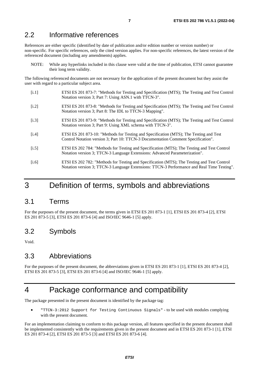### <span id="page-6-0"></span>2.2 Informative references

References are either specific (identified by date of publication and/or edition number or version number) or non-specific. For specific references, only the cited version applies. For non-specific references, the latest version of the referenced document (including any amendments) applies.

NOTE: While any hyperlinks included in this clause were valid at the time of publication, ETSI cannot guarantee their long term validity.

The following referenced documents are not necessary for the application of the present document but they assist the user with regard to a particular subject area.

- [i.1] ETSI ES 201 873-7: "Methods for Testing and Specification (MTS); The Testing and Test Control Notation version 3; Part 7: Using ASN.1 with TTCN-3".
- [i.2] ETSI ES 201 873-8: "Methods for Testing and Specification (MTS); The Testing and Test Control Notation version 3; Part 8: The IDL to TTCN-3 Mapping".
- [i.3] ETSI ES 201 873-9: "Methods for Testing and Specification (MTS); The Testing and Test Control Notation version 3; Part 9: Using XML schema with TTCN-3".
- [i.4] ETSI ES 201 873-10: "Methods for Testing and Specification (MTS); The Testing and Test Control Notation version 3; Part 10: TTCN-3 Documentation Comment Specification".
- [i.5] ETSI ES 202 784: "Methods for Testing and Specification (MTS); The Testing and Test Control Notation version 3; TTCN-3 Language Extensions: Advanced Parameterization".
- [i.6] ETSI ES 202 782: "Methods for Testing and Specification (MTS); The Testing and Test Control Notation version 3; TTCN-3 Language Extensions: TTCN-3 Performance and Real Time Testing".

### 3 Definition of terms, symbols and abbreviations

### 3.1 Terms

For the purposes of the present document, the terms given in ETSI ES 201 873-1 [\[1](#page-5-0)], ETSI ES 201 873-4 [[2](#page-5-0)], ETSI ES 201 873-5 [\[3\]](#page-5-0), ETSI ES 201 873-6 [\[4](#page-5-0)] and ISO/IEC 9646-1 [\[5\]](#page-5-0) apply.

### 3.2 Symbols

Void.

### 3.3 Abbreviations

For the purposes of the present document, the abbreviations given in ETSI ES 201 873-1 [[1](#page-5-0)], ETSI ES 201 873-4 [\[2](#page-5-0)], ETSI ES 201 873-5 [\[3](#page-5-0)], ETSI ES 201 873-6 [[4](#page-5-0)] and ISO/IEC 9646-1 [\[5](#page-5-0)] apply.

### 4 Package conformance and compatibility

The package presented in the present document is identified by the package tag:

• "TTCN-3:2012 Support for Testing Continuous Signals" - to be used with modules complying with the present document*.*

For an implementation claiming to conform to this package version, all features specified in the present document shall be implemented consistently with the requirements given in the present document and in ETSI ES 201 873-1 [[1\]](#page-5-0), ETSI ES 201 873-4 [\[2\]](#page-5-0), ETSI ES 201 873-5 [\[3](#page-5-0)] and ETSI ES 201 873-6 [\[4](#page-5-0)].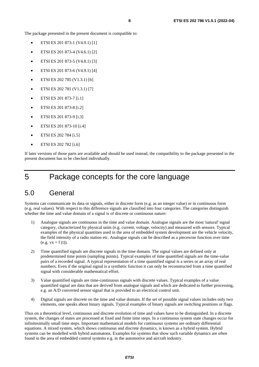<span id="page-7-0"></span>The package presented in the present document is compatible to:

- ETSI ES 201 873-1 (V4.9.1) [\[1](#page-5-0)]
- ETSI ES 201 873-4 (V4.6.1) [\[2](#page-5-0)]
- ETSI ES 201 873-5 (V4.8.1) [\[3](#page-5-0)]
- ETSI ES 201 873-6 (V4.9.1) [\[4](#page-5-0)]
- ETSI ES 202 785 (V1.3.1) [[6](#page-5-0)]
- ETSI ES 202 781 (V1.3.1) [[7](#page-5-0)]
- ETSI ES 201 873-7 [[i.1](#page-6-0)]
- ETSI ES 201 873-8 [[i.2](#page-6-0)]
- ETSI ES 201 873-9 [[i.3](#page-6-0)]
- ETSI ES 201 873-10 [[i.4](#page-6-0)]
- ETSI ES 202 784 [\[i.5\]](#page-6-0)
- ETSI ES 202 782 [\[i.6\]](#page-6-0)

If later versions of those parts are available and should be used instead, the compatibility to the package presented in the present document has to be checked individually.

### 5 Package concepts for the core language

### 5.0 General

Systems can communicate its data or signals, either in discrete form (e.g. as an integer value) or in continuous form (e.g. real values). With respect to this difference signals are classified into four categories. The categories distinguish whether the time and value domain of a signal is of discrete or continuous nature:

- 1) Analogue signals are continuous in the time and value domain. Analogue signals are the most 'natural' signal category, characterized by physical units (e.g. current, voltage, velocity) and measured with sensors. Typical examples of the physical quantities used in the area of embedded system development are the vehicle velocity, the field intensity of a radio station etc. Analogue signals can be described as a piecewise function over time  $(e.g. vx = f(t)).$
- 2) Time quantified signals are discrete signals in the time domain. The signal values are defined only at predetermined time points (sampling points). Typical examples of time quantified signals are the time-value pairs of a recorded signal. A typical representation of a time quantified signal is a series or an array of real numbers. Even if the original signal is a synthetic function it can only be reconstructed from a time quantified signal with considerable mathematical effort.
- 3) Value quantified signals are time-continuous signals with discrete values. Typical examples of a value quantified signal are data that are derived from analogue signals and which are dedicated to further processing, e.g. an A/D converted sensor signal that is provided to an electrical control unit.
- 4) Digital signals are discrete on the time and value domain. If the set of possible signal values includes only two elements, one speaks about binary signals. Typical examples of binary signals are switching positions or flags.

Thus on a theoretical level, continuous and discrete evolution of time and values have to be distinguished. In a discrete system, the changes of states are processed at fixed and finite time steps. In a continuous system state changes occur for infinitesimally small time steps. Important mathematical models for continuous systems are ordinary differential equations. A mixed system, which shows continuous and discrete dynamics, is known as a hybrid system. Hybrid systems can be modelled with hybrid automatons. Examples for systems that show such variable dynamics are often found in the area of embedded control systems e.g. in the automotive and aircraft industry.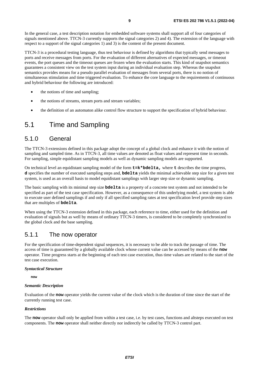<span id="page-8-0"></span>In the general case, a test description notation for embedded software systems shall support all of four categories of signals mentioned above. TTCN-3 currently supports the signal categories 2) and 4). The extension of the language with respect to a support of the signal categories 1) and 3) is the content of the present document.

TTCN-3 is a procedural testing language, thus test behaviour is defined by algorithms that typically send messages to ports and receive messages from ports. For the evaluation of different alternatives of expected messages, or timeout events, the port queues and the timeout queues are frozen when the evaluation starts. This kind of snapshot semantics guarantees a consistent view on the test system input during an individual evaluation step. Whereas the snapshot semantics provides means for a pseudo parallel evaluation of messages from several ports, there is no notion of simultaneous stimulation and time triggered evaluation. To enhance the core language to the requirements of continuous and hybrid behaviour the following are introduced:

- the notions of time and sampling;
- the notions of streams, stream ports and stream variables;
- the definition of an automaton alike control flow structure to support the specification of hybrid behaviour.

### 5.1 Time and Sampling

#### 5.1.0 General

The TTCN-3 extensions defined in this package adopt the concept of a global clock and enhance it with the notion of sampling and sampled time. As in TTCN-3, all time values are denoted as float values and represent time in seconds. For sampling, simple equidistant sampling models as well as dynamic sampling models are supported.

On technical level an equidistant sampling model of the form **t=k\*bdelta,** where **t** describes the time progress, **d** specifies the number of executed sampling steps and, **bdelta** yields the minimal achievable step size for a given test system, is used as an overall basis to model equidistant samplings with larger step size or dynamic sampling.

The basic sampling with its minimal step size **bdelta** is a property of a concrete test system and not intended to be specified as part of the test case specification. However, as a consequence of this underlying model, a test system is able to execute user defined samplings if and only if all specified sampling rates at test specification level provide step sizes that are multiples of **bdelta**.

When using the TTCN-3 extension defined in this package, each reference to time, either used for the definition and evaluation of signals but as well by means of ordinary TTCN-3 timers, is considered to be completely synchronized to the global clock and the base sampling.

### 5.1.1 The now operator

For the specification of time-dependent signal sequences, it is necessary to be able to track the passage of time. The access of time is guaranteed by a globally available clock whose current value can be accessed by means of the **now** operator. Time progress starts at the beginning of each test case execution, thus time values are related to the start of the test case execution.

#### *Syntactical Structure*

**now**

#### *Semantic Description*

Evaluation of the **now** operator yields the current value of the clock which is the duration of time since the start of the currently running test case.

#### *Restrictions*

The **now** operator shall only be applied from within a test case, i.e. by test cases, functions and altsteps executed on test components. The **now** operator shall neither directly nor indirectly be called by TTCN-3 control part.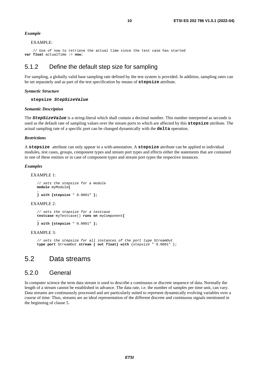#### <span id="page-9-0"></span>*Example*

#### EXAMPLE:

```
 // Use of now to retrieve the actual time since the test case has started 
var float actualTime := now;
```
### 5.1.2 Define the default step size for sampling

For sampling, a globally valid base sampling rate defined by the test system is provided. In addition, sampling rates can be set separately and as part of the test specification by means of **stepsize** attribute.

#### *Syntactic Structure*

**stepsize** *StepSizeValue* 

#### *Semantic Description*

The *StepSizeValue* is a string-literal which shall contain a decimal number. This number interpreted as seconds is used as the default rate of sampling values over the stream ports to which are affected by this **stepsize** attribute. The actual sampling rate of a specific port can be changed dynamically with the **delta** operation.

#### *Restrictions*

A **stepsize** attribute can only appear in a with-annotation. A **stepsize** attribute can be applied to individual modules, test cases, groups, component types and stream port types and effects either the statements that are contained in one of these entities or in case of component types and stream port types the respective instances.

#### *Examples*

#### EXAMPLE 1:

```
// sets the stepsize for a module 
module myModule{ 
…
```

```
} with {stepsize " 0.0001" };
```
#### EXAMPLE  $2$ :

```
// sets the stepsize for a testcase 
testcase myTestcase() runs on myComponent{ 
…
```

```
} with {stepsize " 0.0001" };
```
#### EXAMPLE 3:

*// sets the stepsize for all instances of the port type StreamOut*  **type port** StreamOut **stream { out float} with** {stepsize " 0.0001" };

### 5.2 Data streams

#### 5.2.0 General

In computer science the term data stream is used to describe a continuous or discrete sequence of data. Normally the length of a stream cannot be established in advance. The data rate, i.e. the number of samples per time unit, can vary. Data streams are continuously processed and are particularly suited to represent dynamically evolving variables over a course of time. Thus, streams are an ideal representation of the different discrete and continuous signals mentioned in the beginning of clause 5.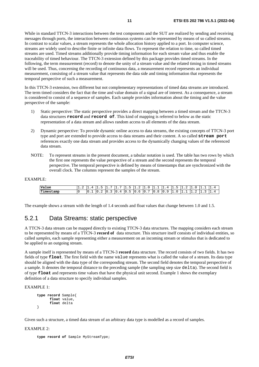<span id="page-10-0"></span>While in standard TTCN-3 interactions between the test components and the SUT are realized by sending and receiving messages through ports, the interaction between continuous systems can be represented by means of so called streams. In contrast to scalar values, a stream represents the whole allocation history applied to a port. In computer science, streams are widely used to describe finite or infinite data flows. To represent the relation to time, so called timed streams are used. Timed streams additionally provide timing information for each stream value and thus enable the traceability of timed behaviour. The TTCN-3 extension defined by this package provides timed streams. In the following, the term measurement (record) to denote the unity of a stream value and the related timing in timed streams will be used. Thus, concerning the recording of continuous data, a measurement record represents an individual measurement, consisting of a stream value that represents the data side and timing information that represents the temporal perspective of such a measurement.

In this TTCN-3 extension, two different but not complementary representations of timed data streams are introduced. The term timed considers the fact that the time and value domain of a signal are of interest. As a consequence, a stream is considered to consist of a sequence of samples. Each sample provides information about the timing and the value perspective of the sample:

- 1) Static perspective: The static perspective provides a direct mapping between a timed stream and the TTCN-3 data structures **record** and **record of**. This kind of mapping is referred to below as the static representation of a data stream and allows random access to all elements of the data stream.
- 2) Dynamic perspective: To provide dynamic online access to data streams, the existing concepts of TTCN-3 port type and port are extended to provide access to data streams and their content. A so called **stream port** references exactly one data stream and provides access to the dynamically changing values of the referenced data stream.
- NOTE: To represent streams in the present document, a tabular notation is used. The table has two rows by which the first one represents the value perspective of a stream and the second represents the temporal perspective. The temporal perspective is defined by means of timestamps that are synchronized with the overall clock. The columns represent the samples of the stream.

#### EXAMPLE:

| Value                   | . | $\mathbf{A}$ |  | -                        | -<br>-<br>. .  |                          |                                                  | $\overline{\phantom{a}}$     | -11<br>$\Delta$              | -<br>. . |  |  |
|-------------------------|---|--------------|--|--------------------------|----------------|--------------------------|--------------------------------------------------|------------------------------|------------------------------|----------|--|--|
| <b>THE</b><br>Timestamp |   | . .          |  | $\overline{\phantom{a}}$ | -<br>10<br>. . | $\overline{0}$<br>$\sim$ | $\overline{\phantom{0}}$<br>$\overline{10}$<br>ັ | $\overline{10}$<br>- 52<br>ັ | $\overline{10}$<br>്ധ<br>. . |          |  |  |

The example shows a stream with the length of 1.4 seconds and float values that change between 1.0 and 1.5.

### 5.2.1 Data Streams: static perspective

A TTCN-3 data stream can be mapped directly to existing TTCN-3 data structures. The mapping considers each stream to be represented by means of a TTCN-3 **record of** data structure. This structure itself consists of individual entities, so called *samples*, each sample representing either a measurement on an incoming stream or stimulus that is dedicated to be applied to an outgoing stream.

A sample itself is represented by means of a TTCN-3 **record** data structure. The record consists of two fields. It has two fields of type **float**. The first field with the name value represents what is called the value of a stream. Its data type should be aligned with the data type of the corresponding stream. The second field denotes the temporal perspective of a sample. It denotes the temporal distance to the preceding sample (the sampling step size delta). The second field is of type **float** and represents time values that have the physical unit second. Example 1 shows the exemplary definition of a data structure to specify individual samples.

EXAMPLE 1:

```
type record Sample{ 
        float value, 
        float delta 
}
```
Given such a structure, a timed data stream of an arbitrary data type is modelled as a record of samples.

#### EXAMPLE 2:

```
type record of Sample MyStreamType;
```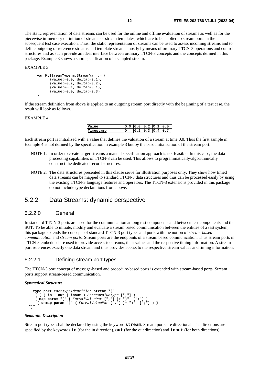<span id="page-11-0"></span>The static representation of data streams can be used for the online and offline evaluation of streams as well as for the piecewise in-memory definition of streams or stream templates, which are to be applied to stream ports in the subsequent test case execution. Thus, the static representation of streams can be used to assess incoming streams and to define outgoing or reference streams and template streams mostly by means of ordinary TTCN-3 operations and control structures and as such provide an ideal interface between ordinary TTCN-3 concepts and the concepts defined in this package. Example 3 shows a short specification of a sampled stream.

EXAMPLE 3:

```
var MyStreamType myStreamVar := { 
       {value: = 0.0, delta: = 0.1},
       {value := 0.2, delta := 0.2},
       {value := 0.1, delta := 0.1},
       {value:=0.0, delta:=0.3}}
```
If the stream definition from above is applied to an outgoing stream port directly with the beginning of a test case, the result will look as follows.

EXAMPLE 4:

|    |  | ◠ |   |     |
|----|--|---|---|-----|
| mp |  |   | Δ | 10. |

Each stream port is initialized with a value that defines the valuation of a stream at time 0.0. Thus the first sample in Example 4 is not defined by the specification in example 3 but by the base initialization of the stream port.

- NOTE 1: In order to create larger streams a manual specification approach is not feasible. In this case, the data processing capabilities of TTCN-3 can be used. This allows to programmatically/algorithmically construct the dedicated record structures.
- NOTE 2: The data structures presented in this clause serve for illustration purposes only. They show how timed data streams can be mapped to standard TTCN-3 data structures and thus can be processed easily by using the existing TTCN-3 language features and operators. The TTCN-3 extensions provided in this package do not include type declarations from above.

### 5.2.2 Data Streams: dynamic perspective

#### 5.2.2.0 General

In standard TTCN-3 ports are used for the communication among test components and between test components and the SUT. To be able to initiate, modify and evaluate a stream based communication between the entities of a test system, this package extends the concepts of standard TTCN-3 port types and ports with the notion of *stream-based communication* and *stream ports.* Stream ports are the endpoints of a stream based communication. Thus stream ports in TTCN-3 embedded are used to provide access to streams, their values and the respective timing information. A stream port references exactly one data stream and thus provides access to the respective stream values and timing information.

#### 5.2.2.1 Defining stream port types

The TTCN-3 port concept of message-based and procedure-based ports is extended with stream-based ports. Stream ports support stream-based communication.

#### *Syntactical Structure*

```
type port PortTypeIdentifier stream "{" 
 { ( ( in | out | inout ) StreamValueType [";"] ) 
 ( map param "(" { FormalValuePar [","] }+ ")" [";"] ) | 
 ( unmap param "(" { FormalValuePar [","] }+ ")" [";"] ) } 
  "}"
```
#### *Semantic Description*

Stream port types shall be declared by using the keyword **stream**. Stream ports are directional. The directions are specified by the keywords **in** (for the in direction), **out** (for the out direction) and **inout** (for both directions).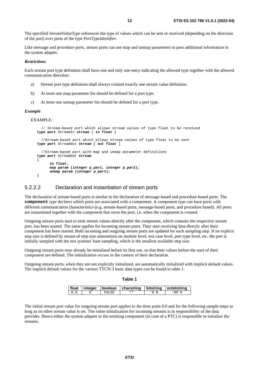<span id="page-12-0"></span>The specified *StreamValueType* references the type of values which can be sent or received (depending on the direction of the port) over ports of the type *PortTypeIdentifier.*

Like message and procedure ports, stream ports can use map and unmap parameters to pass additional information to the system adapter.

#### *Restrictions*

Each stream port type definition shall have one and only one entry indicating the allowed type together with the allowed communication direction:

- a) Stream port type definition shall always contain exactly one stream value definition.
- b) At most one map parameter list should be defined for a port type.
- c) At most one unmap parameter list should be defined for a port type.

#### *Example*

EXAMPLE:

```
 // Stream-based port which allows stream values of type float to be received 
type port StreamIn stream { in float } 
   //Stream-based port which allows stream values of type float to be sent
type port StreamOut stream { out float } 
   //Stream-based port with map and unmap parameter definitions
type port StreamOut stream 
{ 
       in float; 
       map param (integer p_par1, integer p_par2); 
       unmap param (integer p_par1); 
}
```
#### 5.2.2.2 Declaration and instantiation of stream ports

The declaration of stream-based ports is similar to the declaration of message-based and procedure-based ports. The **component** type declares which ports are associated with a component. A component type can have ports with different communication characteristics (e.g. stream-based ports, message-based ports, and procedure based). All ports are instantiated together with the component that owns the port, i.e. when the component is created.

Outgoing stream ports start to emit stream values directly after the component, which contains the respective stream port, has been started. The same applies for incoming stream ports. They start receiving data directly after their component has been started. Both incoming and outgoing stream ports are updated for each sampling step. If no explicit step size is defined by means of step size annotations on module level, test case level, port type level, etc. the port is initially sampled with the test systems' base sampling, which is the smallest available step size.

Outgoing stream ports may already be initialized before its first use, so that their values before the start of their component are defined. The initialization occurs in the context of their declaration.

Outgoing stream ports, when they are not explicitly initialized, are automatically initialized with implicit default values. The implicit default values for the various TTCN-3 basic data types can be found in table 1.

| ۰.<br>×<br>×<br>٩<br>. . |  |
|--------------------------|--|
|--------------------------|--|

|  |       | float   integer   boolean   charstring   bitstring   octetstring |        |
|--|-------|------------------------------------------------------------------|--------|
|  | FALSE |                                                                  | (1111) |

The initial stream port value for outgoing stream port applies to the time point 0.0 and for the following sample steps as long as no other stream value is set. The value initialization for incoming streams is in responsibility of the data provider. Hence either the system adapter or the emitting component (in case of a PTC) is responsible to initialize the streams.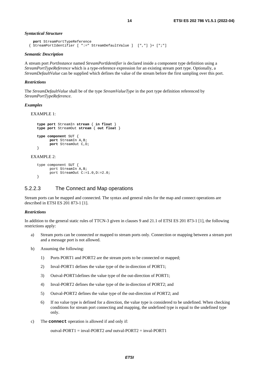#### <span id="page-13-0"></span>*Syntactical Structure*

```
port StreamPortTypeReference 
 { StreamPortIdentifier [ ":=" StreamDefaultValue ] [","] }+ [";"]
```
#### *Semantic Description*

A stream port *PortInstance* named *StreamPortIdentifier* is declared inside a component type definition using a *StreamPortTypeReference* which is a type-reference expression for an existing stream port type. Optionally, a *StreamDefaultValue* can be supplied which defines the value of the stream before the first sampling over this port.

#### *Restrictions*

The *StreamDefaultValue* shall be of the type *StreamValueType* in the port type definition referenced by *StreamPortTypeReference*.

#### *Examples*

```
EXAMPLE 1: 
   type port StreamIn stream { in float } 
   type port StreamOut stream { out float } 
   type component SUT { 
          port StreamIn A,B; 
          port StreamOut C,D; 
   }
```
#### EXAMPLE 2:

```
type component SUT { 
       port StreamIn A,B; 
       port StreamOut C:=1.0,D:=2.0; 
}
```
#### 5.2.2.3 The Connect and Map operations

Stream ports can be mapped and connected. The syntax and general rules for the map and connect operations are described in ETSI ES 201 873-1 [\[1](#page-5-0)].

#### *Restrictions*

In addition to the general static rules of TTCN-3 given in clauses 9 and 21.1 of ETSI ES 201 873-1 [\[1](#page-5-0)], the following restrictions apply:

- a) Stream ports can be connected or mapped to stream ports only. Connection or mapping between a stream port and a message port is not allowed.
- b) Assuming the following:
	- 1) Ports PORT1 and PORT2 are the stream ports to be connected or mapped;
	- 2) Inval-PORT1 defines the value type of the in-direction of PORT1;
	- 3) Outval-PORT1defines the value type of the out-direction of PORT1;
	- 4) Inval-PORT2 defines the value type of the in-direction of PORT2; and
	- 5) Outval-PORT2 defines the value type of the out-direction of PORT2; and
	- 6) If no value type is defined for a direction, the value type is considered to be undefined. When checking conditions for stream port connecting and mapping, the undefined type is equal to the undefined type only.
- c) The **connect** operation is allowed if and only if:

outval-PORT1 = inval-PORT2 *and* outval-PORT2 = inval-PORT1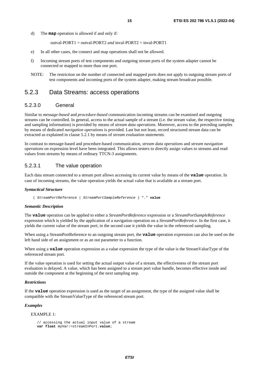<span id="page-14-0"></span>d) The **map** operation is allowed if and only if:

outval-PORT1 = outval-PORT2 *and* inval-PORT2 = inval-PORT1

- e) In all other cases, the connect and map operations shall not be allowed.
- f) Incoming stream ports of test components and outgoing stream ports of the system adapter cannot be connected or mapped to more than one port.
- NOTE: The restriction on the number of connected and mapped ports does not apply to outgoing stream ports of test components and incoming ports of the system adapter, making stream broadcast possible.

#### 5.2.3 Data Streams: access operations

#### 5.2.3.0 General

Similar to *message-based* and *procedure-based* communication incoming streams can be examined and outgoing streams can be controlled. In general, access to the actual sample of a stream (i.e. the stream value, the respective timing and sampling information) is provided by means of *stream data operations*. Moreover, access to the preceding samples by means of dedicated *navigation operations* is provided. Last but not least, record structured stream data can be extracted as explained in clause 5.2.1 by means of *stream evaluation statements*.

In contrast to message-based and procedure-based communication, *stream data operations* and *stream navigation operations* on expression level have been integrated. This allows testers to directly assign values to streams and read values from streams by means of ordinary TTCN-3 assignments.

#### 5.2.3.1 The value operation

Each data stream connected to a stream port allows accessing its current value by means of the **value** operation. In case of incoming streams, the value operation yields the actual value that is available at a stream port.

#### *Syntactical Structure*

( *StreamPortReference* | *StreamPortSampleReference* ) "." **value** 

#### *Semantic Description*

The **value** operation can be applied to either a *StreamPortReference* expression or a *StreamPortSampleReference* expression which is yielded by the application of a navigation operation on a *StreamPortReference*. In the first case, it yields the current value of the stream port; in the second case it yields the value in the referenced sampling.

When using a StreamPortReference to an outgoing stream port, the **value** operation expression can also be used on the left hand side of an assignment or as an out parameter to a function.

When using a **value** operation expression as a value expression the type of the value is the StreamValueType of the referenced stream port.

If the value operation is used for setting the actual output value of a stream, the effectiveness of the stream port evaluation is delayed. A value, which has been assigned to a stream port value handle, becomes effective inside and outside the component at the beginning of the next sampling step.

#### *Restrictions*

If the **value** operation expression is used as the target of an assignment, the type of the assigned value shall be compatible with the StreamValueType of the referenced stream port.

#### *Examples*

#### EXAMPLE 1:

```
// accessing the actual input value of a stream 
var float myVar:=streamInPort.value;
```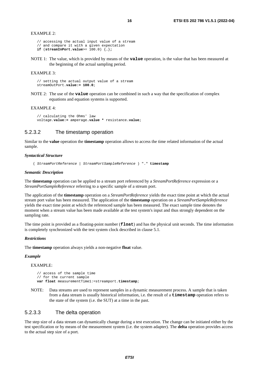```
// accessing the actual input value of a stream 
// and compare it with a given expectation 
if (streamInPort.value>= 100.0) {…};
```
NOTE 1: The value, which is provided by means of the **value** operation, is the value that has been measured at the beginning of the actual sampling period.

#### EXAMPLE 3:

// setting the actual output value of a stream streamOutPort.**value:= 100.0**;

NOTE 2: The use of the **value** operation can be combined in such a way that the specification of complex equations and equation systems is supported.

#### EXAMPLE 4:

```
// calculating the Ohms' law 
voltage.value:= amperage.value * resistance.value;
```
#### 5.2.3.2 The timestamp operation

Similar to the **value** operation the **timestamp** operation allows to access the time related information of the actual sample.

#### *Syntactical Structure*

( *StreamPortReference | StreamPortSampleReference* ) "." **timestamp**

#### *Semantic Description*

The **timestamp** operation can be applied to a stream port referenced by a *StreamPortReference* expression or a *StreamPortSampleReference* referring to a specific sample of a stream port.

The application of the **timestamp** operation on a *StreamPortReference* yields the exact time point at which the actual stream port value has been measured. The application of the **timestamp** operation on a *StreamPortSampleReference* yields the exact time point at which the referenced sample has been measured. The exact sample time denotes the moment when a stream value has been made available at the test system's input and thus strongly dependent on the sampling rate.

The time point is provided as a floating-point number (**float**) and has the physical unit seconds. The time information is completely synchronized with the test system clock described in clause 5.1.

#### *Restrictions*

The **timestamp** operation always yields a non-negative **float** value.

#### *Example*

#### EXAMPLE:

```
// access of the sample time 
// for the current sample
var float measurementTime1:=streamport.timestamp;
```
NOTE: Data streams are used to represent samples in a dynamic measurement process. A sample that is taken from a data stream is usually historical information, i.e. the result of a **timestamp** operation refers to the state of the system (i.e. the SUT) at a time in the past.

#### 5.2.3.3 The delta operation

The step size of a data stream can dynamically change during a test execution. The change can be initiated either by the test specification or by means of the measurement system (i.e. the system adapter). The **delta** operation provides access to the actual step size of a port.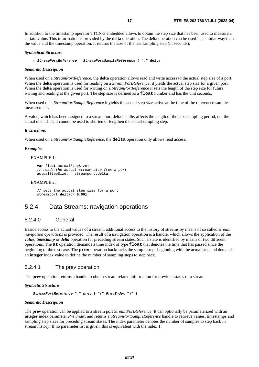<span id="page-16-0"></span>In addition to the timestamp operator TTCN-3 embedded allows to obtain the step size that has been used to measure a certain value. This information is provided by the **delta** operation. The delta operation can be used in a similar way than the value and the timestamp operation. It returns the size of the last sampling step (in seconds).

#### *Syntactical Structure*

( *StreamPortReference* | *StreamPortSampleReference* ) **"." delta** 

#### *Semantic Description*

When used on a *StreamPortReference*, the **delta** operation allows read and write access to the actual step size of a port. When the **delta** operation is used for reading on a *StreamPortReference*, it yields the actual step size for a given port. When the **delta** operation is used for writing on a *StreamPortReference* it sets the length of the step size for future writing and reading at the given port. The step size is defined as a **float** number and has the unit seconds.

When used on a *StreamPortSampleReference* it yields the actual step size active at the time of the referenced sample measurement.

A value, which has been assigned to a stream port delta handle, affects the length of the next sampling period, not the actual one. Thus, it cannot be used to shorten or lengthen the actual sampling step.

#### *Restrictions*

When used on a *StreamPortSampleReference*, the **delta** operation only allows read access.

#### *Examples*

#### EXAMPLE 1:

```
var float actualStepSize; 
// reads the actual stream size from a port 
actualStepSize: = streamport.delta;
```
#### EXAMPLE 2:

```
// sets the actual step size for a port 
streamport.delta:= 0.001;
```
### 5.2.4 Data Streams: navigation operations

#### 5.2.4.0 General

Beside access to the actual values of a stream, additional access to the history of streams by means of so called *stream navigation operations* is provided. The result of a navigation operation is a handle, which allows the application of the *value*, *timestamp* or *delta* operation for preceding stream states. Such a state is identified by means of two different operations. The **at** operation demands a time index of type **float** that denotes the time that has passed since the beginning of the test case. The **prev** operation backtracks the sample steps beginning with the actual step and demands an **integer** index value to define the number of sampling steps to step back.

#### 5.2.4.1 The prev operation

The **prev** operation returns a handle to obtain stream related information for previous states of a stream.

#### *Syntactic Structure*

 *StreamPortReference* **"." prev [ "("** *PrevIndex* **")" ]** 

#### *Semantic Description*

The **prev** operation can be applied to a stream port *StreamPortReference.* It can optionally be parameterized with an **integer** index parameter *PrevIndex* and returns a *StreamPortSampleReference* handle to retrieve values, timestamps and sampling step sizes for preceding stream states. The index parameter denotes the number of samples to step back in stream history. If no parameter list is given, this is equivalent with the index 1.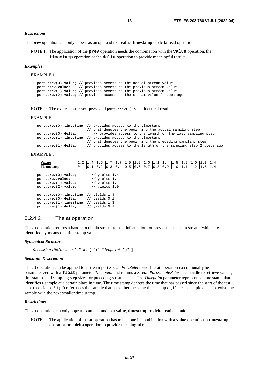#### <span id="page-17-0"></span>*Restrictions*

The **prev** operation can only appear as an operand to a **value**, **timestamp** or **delta** read operation.

NOTE 1: The application of the **prev** operation needs the combination with the **value** operation, the **timestamp** operation or the **delta** operation to provide meaningful results.

#### *Examples*

EXAMPLE 1:

```
port.prev(0).value; // provides access to the actual stream value
port.prev.value; // provides access to the previous stream value 
port.prev(1).value; // provides access to the previous stream value 
port.prev(2).value; // provides access to the stream value 2 steps ago
```
NOTE 2: The expressions port.**prev** and port.**prev**(1) yield identical results.

#### EXAMPLE 2:

```
port.prev(0).timestamp; // provides access to the timestamp 
\frac{1}{2} that denotes the beginning the actual sampling step port. prev(0). delta: \frac{1}{2} provides access to the length of the last sampling
                                 port.prev(0).delta; // provides access to the length of the last sampling step 
port.prev(1).timestamp; // provides access to the timestamp 
                               // that denotes the beginning the preceding sampling step 
port.prev(1).delta; // provides access to the length of the sampling step 2 steps ago
```
#### EXAMPLE 3:

| Value                                                                                                                                                        | $1.2 \; 1.4$ |     |                                                                          |  |                                                                                                                                     | $\begin{bmatrix} 1.5 & 1.7 & 1.7 & 1.5 & 1.2 & 1.0 & 1.1 & 1.4 & 1.5 & 1.2 & 1.0 \end{bmatrix}$ |     |     |     |     | 1.4 |  |
|--------------------------------------------------------------------------------------------------------------------------------------------------------------|--------------|-----|--------------------------------------------------------------------------|--|-------------------------------------------------------------------------------------------------------------------------------------|-------------------------------------------------------------------------------------------------|-----|-----|-----|-----|-----|--|
| Timestamp                                                                                                                                                    | $\Omega$     | 0.1 |                                                                          |  | $\lfloor 0.2 \rfloor$ $\lfloor 0.3 \rfloor$ $\lfloor 0.4 \rfloor$ $\lfloor 0.5 \rfloor$ $\lfloor 0.6 \rfloor$ $\lfloor 0.7 \rfloor$ | $0.8 \ 0.9$                                                                                     | 1.0 | 1.1 | 1.2 | 1.3 | 1.4 |  |
| $port.\texttt{prev}(0).\texttt{value};$<br>port. <b>prev.value</b> ;<br>port. <b>prev</b> (1).value;<br>port. <b>prev</b> (2).value;                         |              |     | // yields $1.4$<br>$1/$ yields 1.1<br>$1/$ yields 1.1<br>$//$ yields 1.0 |  |                                                                                                                                     |                                                                                                 |     |     |     |     |     |  |
| port.prev(0).timestamp; // yields 1.4<br>port.prev(0).delta; // yields 0.1<br>port.prev(1).timestamp; // yields 1.3<br>port. $prev(1)$ .delta; // yields 0.1 |              |     |                                                                          |  |                                                                                                                                     |                                                                                                 |     |     |     |     |     |  |

#### 5.2.4.2 The at operation

The **at** operation returns a handle to obtain stream related information for previous states of a stream, which are identified by means of a timestamp value.

#### *Syntactical Structure*

 *StreamPortReference* "." **at** [ "(" *Timepoint* ")" ]

#### *Semantic Description*

The **at** operation can be applied to a stream port *StreamPortReference.* The **at** operation can optionally be parameterized with a **float** parameter *Timepoint* and returns a *StreamPortSampleReference* handle to retrieve values, timestamps and sampling step sizes for preceding stream states. The *Timepoint* parameter represents a time stamp that identifies a sample at a certain place in time. The time stamp denotes the time that has passed since the start of the test case (see clause 5.1). It references the sample that has either the same time stamp or, if such a sample does not exist, the sample with the next smaller time stamp.

#### *Restrictions*

The **at** operation can only appear as an operand to a **value**, **timestamp** or **delta** read operation.

NOTE: The application of the **at** operation has to be done in combination with a **value** operation, a **timestamp** operation or a **delta** operation to provide meaningful results.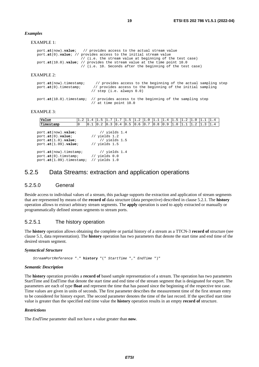#### <span id="page-18-0"></span>*Examples*

EXAMPLE 1:

```
port.at(now).value; // provides access to the actual stream value
port.at(0).value; // provides access to the initial stream value 
                       // (i.e. the stream value at beginning of the test case) 
port.at(10.0).value; // provides the stream value at the time point 10.0 
                      // (i.e. 10. Seconds after the beginning of the test case)
```
#### EXAMPLE 2:

| port.at(now).timestamp;<br>port.at(0).timestamp; | // provides access to the beginning of the actual sampling step<br>// provides access to the beginning of the initial sampling<br>// step (i.e. always $0.0$ ) |
|--------------------------------------------------|----------------------------------------------------------------------------------------------------------------------------------------------------------------|
|                                                  | port.at(10.0).timestamp: // provides access to the beginning of the sampling step<br>// at time point $10.0$                                                   |

#### EXAMPLE 3:

| Value                                                                                        | $1.2 \, 1.4$ |     | 11.5 | 1.7                                                                      | 1.7 | 1.5 | $1.2 \, 1.0$ | 11.1        | 1.4 |     | 1.2          | I1.O |     | 1.4 |
|----------------------------------------------------------------------------------------------|--------------|-----|------|--------------------------------------------------------------------------|-----|-----|--------------|-------------|-----|-----|--------------|------|-----|-----|
| Timestamp                                                                                    |              | 0.1 |      | $\vert 0.2 \vert 0.3 \vert 0.4 \vert 0.5 \vert 0.6 \vert 0.7$            |     |     |              | $0.8 \ 0.9$ |     | 1.0 | $1.1 \, 1.2$ |      | 1.3 | 1.4 |
| port.at(now).value;<br>port.at(0).value;<br>$port.at(1.0).value$ ;<br>port.at(1.09) .value;  |              |     |      | $1/$ yields 1.4<br>// yields $1.2$<br>$1/$ yields 1.5<br>// yields $1.5$ |     |     |              |             |     |     |              |      |     |     |
| port.at(now).timstamp;<br>port.at(0).timstamp; $//$ yields $0.0$<br>port.at(1.09).timestamp; |              |     |      | // $yields 1.4$<br>$//$ yields 1.0                                       |     |     |              |             |     |     |              |      |     |     |

### 5.2.5 Data Streams: extraction and application operations

#### 5.2.5.0 General

Beside access to individual values of a stream, this package supports the extraction and application of stream segments that are represented by means of the **record of** data structure (data perspective) described in clause 5.2.1. The **history** operation allows to extract arbitrary stream segments. The **apply** operation is used to apply extracted or manually or programmatically defined stream segments to stream ports.

#### 5.2.5.1 The history operation

The **history** operation allows obtaining the complete or partial history of a stream as a TTCN-3 **record of** structure (see clause 5.1, data representation). The **history** operation has two parameters that denote the start time and end time of the desired stream segment.

#### *Syntactical Structure*

 *StreamPortReference* "." **history** "(" *StartTime* "," *EndTime* ")"

#### *Semantic Description*

The **history** operation provides a **record of** based sample representation of a stream. The operation has two parameters StartTime and EndTime that denote the start time and end time of the stream segment that is designated for export. The parameters are each of type **float** and represent the time that has passed since the beginning of the respective test case. Time values are given in units of seconds. The first parameter describes the measurement time of the first stream entry to be considered for history export. The second parameter denotes the time of the last record. If the specified start time value is greater than the specified end time value the **history** operation results in an empty **record of** structure.

#### *Restrictions*

The *EndTime* parameter shall not have a value greater than **now**.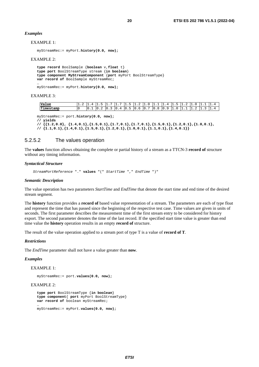#### <span id="page-19-0"></span>*Examples*

EXAMPLE 1:

```
myStreamRec:= myPort.history(0.0, now);
```
#### EXAMPLE 2:

**type record** BoolSample {**boolean** v,**float** t} **type port** BoolStreamType stream {**in boolean**} **type component MyStreamComponent** {**port** myPort BoolStreamType} **var record of** BoolSample myStreamRec; …

myStreamRec:= myPort.**history(0.0, now);** 

#### EXAMPLE 3:

| Value     | . .<br>. . |          |            |         | . .      | . .    |   |                                        |                        |  |   |  |
|-----------|------------|----------|------------|---------|----------|--------|---|----------------------------------------|------------------------|--|---|--|
| Timestamp | טי         | ັ<br>. . | . .<br>. . | '''<br> | . .<br>ັ | r<br>ັ | . | 10<br>$\overline{\phantom{a}}$<br>- 11 | $\mathbf{1}$<br>◡<br>ັ |  | - |  |

myStreamRec:= port.**history(0.0, now);** 

**// yields** 

**// {{1.2,0.0}, {1.4,0.1},{1.5,0.1},{1.7,0.1},{1.7,0.1},{1.5,0.1},{1.2,0.1},{1.0,0.1}, // {1.1,0.1},{1.4,0.1},{1.5,0.1},{1.2,0.1},{1.0,0.1},{1.1,0.1},{1.4,0.1}}** 

#### 5.2.5.2 The values operation

The **values** function allows obtaining the complete or partial history of a stream as a TTCN-3 **record of** structure without any timing information.

#### *Syntactical Structure*

 *StreamPortReference* "." **values** "(" *StartTime* "," *EndTime* ")"

#### *Semantic Description*

The value operation has two parameters *StartTime* and *EndTime* that denote the start time and end time of the desired stream segment.

The **history** function provides a **record of** based value representation of a stream. The parameters are each of type float and represent the time that has passed since the beginning of the respective test case. Time values are given in units of seconds. The first parameter describes the measurement time of the first stream entry to be considered for history export. The second parameter denotes the time of the last record. If the specified start time value is greater than end time value the **history** operation results in an empty **record of** structure.

The result of the value operation applied to a stream port of type T is a value of **record of T**.

#### *Restrictions*

The *EndTime* parameter shall not have a value greater than **now**.

#### *Examples*

#### EXAMPLE 1:

myStreamRec:= port.**values(0.0, now);** 

#### EXAMPLE 2:

```
type port BoolStreamType {in boolean} 
type component{ port myPort BoolStreamType} 
var record of boolean myStreamRec; 
… 
myStreamRec:= myPort.values(0.0, now);
```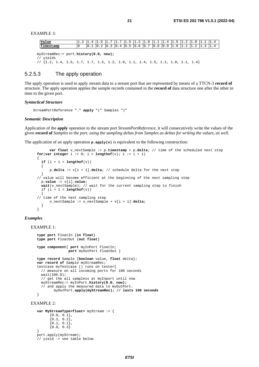<span id="page-20-0"></span>EXAMPLE 3:

| Value                                              |  |  |  |  |  |  |  |  |  |  |  |  |  |  |
|----------------------------------------------------|--|--|--|--|--|--|--|--|--|--|--|--|--|--|
| Timestamp                                          |  |  |  |  |  |  |  |  |  |  |  |  |  |  |
|                                                    |  |  |  |  |  |  |  |  |  |  |  |  |  |  |
|                                                    |  |  |  |  |  |  |  |  |  |  |  |  |  |  |
| $myStreamRec := port.history(0.0, now);$<br>vields |  |  |  |  |  |  |  |  |  |  |  |  |  |  |

// {1.2, 1.4, 1.5, 1.7, 1.7, 1.5, 1.2, 1.0, 1.1, 1.4, 1.5, 1.2, 1.0, 1.1, 1.4}

#### 5.2.5.3 The apply operation

The apply operation is used to apply stream data to a stream port that are represented by means of a TTCN-3 **record of** structure. The apply operation applies the sample records contained in the **record of** data structure one after the other in time to the given port.

#### *Syntactical Structure*

StreamPortReference "." **apply** "(" Samples ")"

#### *Semantic Description*

Application of the **apply** operation to the stream port *StreamPortReference,* it will consecutively write the values of the given **record of** *Samples to the port, using the sampling deltas from Samples as deltas for writing the values, as well.* 

The application of an apply operation  $\mathbf{p}.\text{apply}(v)$  is equivalent to the following construction:

```
 var float v_nextSample := p.timestamp + p.delta; // time of the scheduled next step 
for(var integer i := 0; i < lengthof(v); i := i + 1)
{ 
  if (i + 1 < lengthof(v)\{ p.delta := v[i + 1].delta; // schedule delta for the next step 
 } 
// value will become efficient at the beginning of the next sampling step 
  p.value := v[i].value; 
  wait(v_nextSample); // wait for the current sampling step to finish 
 if (i + 1 < lengthof(v)\{// time of the next sampling step 
       v_nextSample := v_nextSample + v[i + 1].delta; 
   } 
}
```
#### *Examples*

EXAMPLE 1:

```
type port FloatIn {in float} 
type port FloatOut {out float} 
type component{ port myInPort FloatIn; 
                port myOutPort FloatOut } 
type record Sample {boolean value, float delta}; 
var record of Sample myStreamRec; 
testcase myTestcase () runs on tester{ 
  // measure on all incoming ports for 100 seconds 
  wait(100.0); 
   // get the all sampless at myInport until now 
  myStreamRec:= myInPort.history(0.0, now); 
   // and apply the measured data to myOutPort. 
         myOutPort.apply(myStreamRec); // lasts 100 seconds 
}
```

```
EXAMPLE 2:
```

```
var MyStreamType<float> myStream := { 
      {0.0, 0.1}{0.2, 0.2},
      {0.1, 0.1},
      {0.0, 0.3}} 
port.apply(myStream); 
// yield -> see table below
```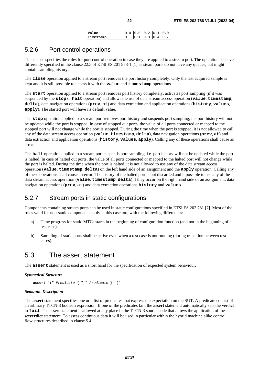| Value     | $\begin{bmatrix} 0.0 & 0.2 & 0.1 & 0.0 \end{bmatrix}$ |  |  |
|-----------|-------------------------------------------------------|--|--|
| Timestamp | $\begin{bmatrix} 0.1 & 0.3 & 0.4 & 0 \end{bmatrix}$   |  |  |

### <span id="page-21-0"></span>5.2.6 Port control operations

This clause specifies the rules for port control operation in case they are applied to a stream port. The operations behave differently specified in the clause 22.5 of ETSI ES 201 873-1 [\[1\]](#page-5-0) as steam ports do not have any queues, but might contain sampling history.

The **close** operation applied to a stream port removes the port history completely. Only the last acquired sample is kept and it is still possible to access it with the **value** and **timestamp** operations.

The **start** operation applied to a stream port removes port history completely, activates port sampling (if it was suspended by the **stop** or **halt** operation) and allows the use of data stream access operation (**value**, **timestamp**, **delta**), data navigation operations (**prev**, **at**) and data extraction and application operations (**history**, **values**, **apply**). The started port will have its default value.

The **stop** operation applied to a stream port removes port history and suspends port sampling, i.e. port history will not be updated while the port is stopped. In case of stopped out ports, the value of all ports connected or mapped to the stopped port will not change while the port is stopped. During the time when the port is stopped, it is not allowed to call any of the data stream access operation (**value**, **timestamp**, **delta**), data navigation operations (**prev**, **at**) and data extraction and application operations (**history**, **values**, **apply**). Calling any of these operations shall cause an error.

The **halt** operation applied to a stream port suspends port sampling, i.e. port history will not be updated while the port is halted. In case of halted out ports, the value of all ports connected or mapped to the halted port will not change while the port is halted. During the time when the port is halted, it is not allowed to use any of the data stream access operation (**value**, **timestamp**, **delta**) on the left hand side of an assignment and the **apply** operation. Calling any of these operations shall cause an error. The history of the halted port is not discarded and it possible to use any of the data stream access operation (**value**, **timestamp**, **delta**) if they occur on the right hand side of an assignment, data navigation operations (**prev**, **at**) and data extraction operations **history** and **values**.

### 5.2.7 Stream ports in static configurations

Components containing stream ports can be used in static configurations specified in ETSI ES 202 781 [\[7](#page-5-0)]. Most of the rules valid for non-static components apply in this case too, with the following differences:

- a) Time progress for static MTCs starts in the beginning of configuration function (and not in the beginning of a test case).
- b) Sampling of static ports shall be active even when a test case is not running (during transition between test cases).

### 5.3 The assert statement

The **assert** statement is used as a short hand for the specification of expected system behaviour.

*Syntactical Structure*

**assert** "(" *Predicate* { "," *Predicate* } ")"

#### *Semantic Description*

The **assert** statement specifies one or a list of predicates that express the expectation on the SUT. A predicate consist of an arbitrary TTCN-3 boolean expression. If one of the predicates fail, the **assert** statement automatically sets the verdict to **fail**. The assert statement is allowed at any place in the TTCN-3 source code that allows the application of the **setverdict** statement. To assess continuous data it will be used in particular within the hybrid machine alike control flow structures described in clause 5.4.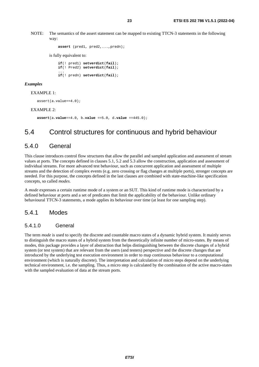<span id="page-22-0"></span>NOTE: The semantics of the assert statement can be mapped to existing TTCN-3 statements in the following way:

```
 assert (pred1, pred2,...,predn); 
 is fully equivalent to:
```
 **if**(! pred1) **setverdict**(**fail**); **if**(! Pred2) **setverdict**(**fail**); ... **if**(! predn) **setverdict**(**fail**);

#### *Examples*

#### EXAMPLE 1:

assert(a.value==4.0);

#### EXAMPLE 2:

**assert**(a**.value**==4.0, b**.value** ==5.0, d**.value** ==445.0);

### 5.4 Control structures for continuous and hybrid behaviour

#### 5.4.0 General

This clause introduces control flow structures that allow the parallel and sampled application and assessment of stream values at ports. The concepts defined in clauses 5.1, 5.2 and 5.3 allow the construction, application and assessment of individual streams. For more advanced test behaviour, such as concurrent application and assessment of multiple streams and the detection of complex events (e.g. zero crossing or flag changes at multiple ports), stronger concepts are needed. For this purpose, the concepts defined in the last clauses are combined with state-machine-like specification concepts, so called *modes*.

A *mode* expresses a certain runtime mode of a system or an SUT. This kind of runtime mode is characterized by a defined behaviour at ports and a set of predicates that limit the applicability of the behaviour. Unlike ordinary behavioural TTCN-3 statements, a mode applies its behaviour over time (at least for one sampling step).

#### 5.4.1 Modes

#### 5.4.1.0 General

The term *mode* is used to specify the discrete and countable macro states of a dynamic hybrid system. It mainly serves to distinguish the macro states of a hybrid system from the theoretically infinite number of micro-states. By means of modes, this package provides a layer of abstraction that helps distinguishing between the discrete changes of a hybrid system (or test system) that are relevant from the users (and testers) perspective and the discrete changes that are introduced by the underlying test execution environment in order to map continuous behaviour to a computational environment (which is naturally discrete). The interpretation and calculation of micro steps depend on the underlying technical environment, i.e. the sampling. Thus, a micro step is calculated by the combination of the active macro-states with the sampled evaluation of data at the stream ports.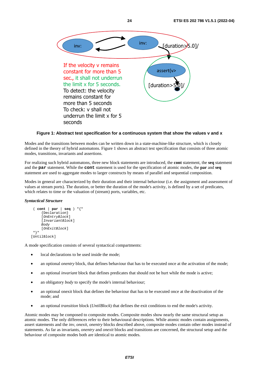

#### **Figure 1: Abstract test specification for a continuous system that show the values v and x**

Modes and the transitions between modes can be written down in a state-machine-like structure, which is closely defined in the theory of hybrid automatons. Figure 1 shows an abstract test specification that consists of three atomic modes, transitions, invariants and assertions.

For realizing such hybrid automatons, three new block statements are introduced, the **cont** statement, the **seq** statement and the **par** statement. While the **cont** statement is used for the specification of atomic modes, the **par** and **seq** statement are used to aggregate modes to larger constructs by means of parallel and sequential composition.

Modes in general are characterized by their duration and their internal behaviour (i.e. the assignment and assessment of values at stream ports). The duration, or better the duration of the mode's activity, is defined by a set of predicates, which relates to time or the valuation of (stream) ports, variables, etc.

#### *Syntactical Structure*

```
( cont | par | seq ) "{" 
       {Declaration} 
       [OnEntryBlock] 
       [InvariantBlock] 
      Body 
      [OnExitBlock] 
  "}" 
[UntilBlock]
```
A mode specification consists of several syntactical compartments:

- local declarations to be used inside the mode;
- an optional *onentry* block, that defines behaviour that has to be executed once at the activation of the mode;
- an optional *invariant* block that defines predicates that should not be hurt while the mode is active;
- an obligatory *body* to specify the mode's internal behaviour;
- an optional onexit block that defines the behaviour that has to be executed once at the deactivation of the mode; and
- an optional *transition* block (*UntilBlock*) that defines the exit conditions to end the mode's activity.

Atomic modes may be composed to composite modes. Composite modes show nearly the same structural setup as atomic modes. The only differences refer to their behavioural descriptions. While atomic modes contain assignments, assert statements and the *inv*, *onexit*, *onentry* blocks described above, composite modes contain other modes instead of statements. As far as invariants, *onentry* and *onexit* blocks and transitions are concerned, the structural setup and the behaviour of composite modes both are identical to atomic modes.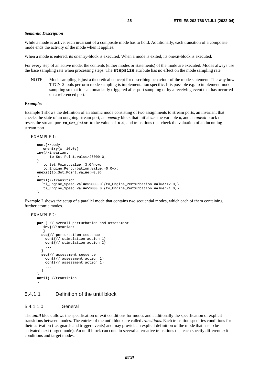#### <span id="page-24-0"></span>*Semantic Description*

While a mode is active, each invariant of a composite mode has to hold. Additionally, each transition of a composite mode ends the activity of the mode when it applies.

When a mode is entered, its onentry-block is executed. When a mode is exited, its onexit-block is executed.

For every step of an active mode, the contents (either modes or statements) of the mode are executed. Modes always use the base sampling rate when processing steps. The **stepsize** attribute has no effect on the mode sampling rate.

NOTE: Mode sampling is just a theoretical concept for describing behaviour of the mode statement. The way how TTCN-3 tools perform mode sampling is implementation specific. It is possible e.g. to implement mode sampling so that it is automatically triggered after port sampling or by a receiving event that has occurred on a referenced port.

#### *Examples*

Example 1 shows the definition of an atomic mode consisting of two assignments to stream ports, an invariant that checks the state of an outgoing stream port, an *onentry* block that initializes the variable **x**, and an *onexit* block that resets the stream port **to\_Set\_Point** to the value of **0.0**, and transitions that check the valuation of an incoming stream port.

```
EXAMPLE 1:
```

```
cont{//body 
    onentry{x:=10.0;} 
inv{//invariant 
      to Set Point.value>20000.0;
} 
    to_Set_Point.value:=3.0*now; 
    to_Engine_Perturbation.value:=0.0+x; 
onexit{to_Set_Point.value:=0.0} 
} 
until{//transition 
   [ti_Engine_Speed.value>2000.0]{to_Engine_Perturbation.value:=2.0;} 
   [ti_Engine_Speed.value>3000.0]{to_Engine_Perturbation.value:=1.0;} 
}
```
Example 2 shows the setup of a parallel mode that contains two sequential modes, which each of them containing further atomic modes.

```
EXAMPLE 2:
```

```
par { // overall perturbation and assessment 
    inv{//invariant 
\} seq{// perturbation sequence 
     cont{// stimulation action 1} 
     cont{// stimulation action 2} 
 ... 
   } 
   seq{// assessment sequence 
     cont{// assessment action 1} 
     cont{// assessment action 1} 
     ... 
   } 
} 
until{ //transition 
}
```
#### 5.4.1.1 Definition of the until block

#### 5.4.1.1.0 General

The *until* block allows the specification of exit conditions for modes and additionally the specification of explicit transitions between modes. The entries of the until block are called *transitions*. Each transition specifies conditions for their activation (i.e. guards and trigger events) and may provide an explicit definition of the mode that has to be activated next (target mode). An until block can contain several alternative transitions that each specify different exit conditions and target modes.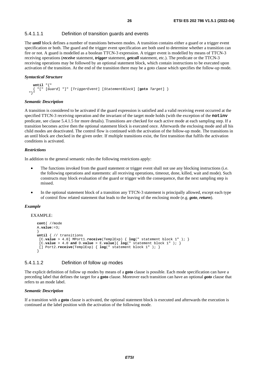#### <span id="page-25-0"></span>5.4.1.1.1 Definition of transition guards and events

The *until* block defines a number of transitions between modes. A transition contains either a guard or a trigger event specification or both. The guard and the trigger event specification are both used to determine whether a transition can fire or not. A guard is modelled as a boolean TTCN-3 expression. A trigger event is modelled by means of TTCN-3 receiving operations (*receive* statement, *trigger* statement, *getcall* statement, etc.). The predicate or the TTCN-3 receiving operations may be followed by an optional statement block, which contain instructions to be executed upon activation of the transition. At the end of the transition there may be a goto clause which specifies the follow-up mode.

#### *Syntactical Structure*

```
until "{" 
 { "[" [Guard] "]" [TriggerEvent] [StatementBlock] [goto Target] } 
 "}"
```
#### *Semantic Description*

A transition is considered to be activated if the guard expression is satisfied and a valid receiving event occurred at the specified TTCN-3 receiving operation and the invariant of the target mode holds (with the exception of the **notinv** predicate, see clause 5.4.1.5 for more details). Transitions are checked for each active mode at each sampling step. If a transition becomes active then the optional statement block is executed once. Afterwards the enclosing mode and all his child modes are deactivated. The control flow is continued with the activation of the follow-up mode. The transitions in an until block are checked in the given order. If multiple transitions exist, the first transition that fulfils the activation conditions is activated.

#### *Restrictions*

In addition to the general semantic rules the following restrictions apply:

- The functions invoked from the guard statement or trigger event shall not use any blocking instructions (i.e. the following operations and statements: all receiving operations, timeout, done, killed, wait and mode). Such constructs may block evaluation of the guard or trigger with the consequence, that the next sampling step is missed.
- In the optional statement block of a transition any TTCN-3 statement is principally allowed, except each type of control flow related statement that leads to the leaving of the enclosing mode (e.g. *goto*, *return*).

#### *Example*

#### EXAMPLE:

```
cont{ //mode 
A.value:=3; 
} 
until { // transitions 
  [C.value > 4.0] MPort1.receive(TemplExp) { log(" statement block 1" ); } 
 [C \cdot value > 4.0 \text{ and } D \cdot value > E \cdot value] \{ \log(" statement block 1") \} [] Port2.receive(TemplExp) { log(" statement block 1" ); } 
}
```
#### 5.4.1.1.2 Definition of follow up modes

The explicit definition of follow up modes by means of a **goto** clause is possible. Each mode specification can have a preceding label that defines the target for a **goto** clause. Moreover each transition can have an optional *goto* clause that refers to an mode label.

#### *Semantic Description*

If a transition with a **goto** clause is activated, the optional statement block is executed and afterwards the execution is continued at the label position with the activation of the following mode.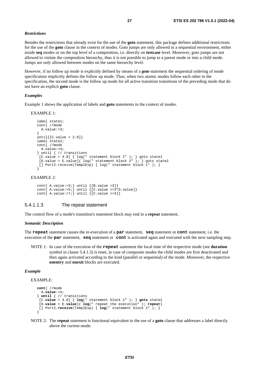#### <span id="page-26-0"></span>*Restrictions*

Besides the restrictions that already exist for the use of the **goto** statement, this package defines additional restrictions for the use of the **goto** clause in the context of modes. Goto jumps are only allowed in a sequential environment, either inside **seq** modes or on the top level of a composition, i.e. directly on **testcase** level. Moreover, goto jumps are not allowed to violate the composition hierarchy, thus it is not possible to jump to a parent mode or into a child mode. Jumps are only allowed between modes on the same hierarchy level.

However, if no follow up mode is explicitly defined by means of a *goto* statement the sequential ordering of mode specification implicitly defines the follow up mode. Thus, when two atomic modes follow each other in the specification, the second mode is the follow up mode for all active transition transitions of the preceding mode that do not have an explicit **goto** clause.

#### *Examples*

Example 1 shows the application of labels and **goto** statements in the context of modes.

#### EXAMPLE 1:

```
label state1; 
cont{ //mode 
  A.value:=3; 
} 
until[(C.value > 2.0])label state2; 
cont{ //mode 
  A.value:=4; 
} until { // transitions 
[C.value > 4.0] \{ log(" statement block 1" ); \} goto state1
[D.value > E.value]\{ log(" statement block 2" ); \} goto state2
[] Port2.receive(TemplExp) { log(" statement block 1" ); }
}
```
#### EXAMPLE 2:

```
cont{ A.value:=3; } until \{[B.value >3]\}cont \{ A.value:=5; \} until \{ [C.value >=3*D.value]}
cont \{ A.value:=7; until \{ [C.value >=3]}
```
#### 5.4.1.1.3 The repeat statement

The control flow of a mode's transition's statement block may end in a **repeat** statement.

#### *Semantic Description*

The **repeat** statement causes the re-execution of a **par** statement, **seq** statement or **cont** statement, i.e. the execution of the **par** statement, **seq** statement or **cont** is activated again and executed with the next sampling step.

NOTE 1: In case of the execution of the **repeat** statement the local time of the respective mode (see **duration** symbol in clause 5.4.1.3) is reset, in case of composite modes the child modes are first deactivated and then again activated according to the kind (parallel or sequential) of the mode. Moreover, the respective **onentry** and **onexit** blocks are executed.

#### *Example*

EXAMPLE:

```
cont{ //mode 
   A.value:=4; 
} until { // transitions 
  [C.value > 4.0] { log(" statement block 1" ); } goto state1 
  [D.value > E.value]{ log(" repeat the execution" ); repeat} 
  [] Port2.receive(TemplExp) { log(" statement block 1" ); } 
}
```
NOTE 2: The **repeat** statement is functional equivalent to the use of a **goto** clause that addresses a label directly above the current mode.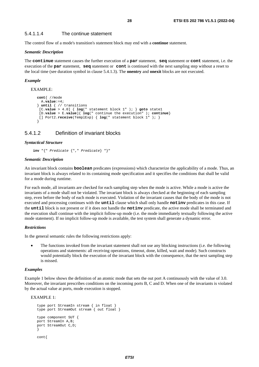#### <span id="page-27-0"></span>5.4.1.1.4 The continue statement

The control flow of a mode's transition's statement block may end with a **continue** statement.

#### *Semantic Description*

The **continue** statement causes the further execution of a **par** statement, **seq** statement or **cont** statement, i.e. the execution of the **par** statement, **seq** statement or **cont** is continued with the next sampling step without a reset to the local time (see duration symbol in clause 5.4.1.3). The **onentry** and **onexit** blocks are not executed.

#### *Example*

EXAMPLE:

```
cont{ //mode 
  A.value:=4; 
} until { // transitions 
  [C.value > 4.0] { log(" statement block 1" ); } goto state1 
  [D.value > E.value]{ log(" continue the execution" ); continue} 
  [] Port2.receive(TemplExp) { log(" statement block 1" ); } 
}
```
#### 5.4.1.2 Definition of invariant blocks

#### *Syntactical Structure*

**inv** "{" *Predicate* {"," *Predicate*} "}"

#### *Semantic Description*

An invariant block contains **boolean** predicates (expressions) which characterize the applicability of a mode. Thus, an invariant block is always related to its containing mode specification and it specifies the conditions that shall be valid for a mode during runtime.

For each mode, all invariants are checked for each sampling step when the mode is active. While a mode is active the invariants of a mode shall not be violated. The invariant block is always checked at the beginning of each sampling step, even before the body of each mode is executed. Violation of the invariant causes that the body of the mode is not executed and processing continues with the **until** clause which shall only handle **notinv** predicates in this case. If the **until** block is not present or if it does not handle the **notinv** predicate, the active mode shall be terminated and the execution shall continue with the implicit follow-up mode (i.e. the mode immediately textually following the active mode statement). If no implicit follow-up mode is available, the test system shall generate a dynamic error.

#### *Restrictions*

In the general semantic rules the following restrictions apply:

• The functions invoked from the invariant statement shall not use any blocking instructions (i.e. the following operations and statements: all receiving operations, timeout, done, killed, wait and mode). Such constructs would potentially block the execution of the invariant block with the consequence, that the next sampling step is missed.

#### *Examples*

Example 1 below shows the definition of an atomic mode that sets the out port A continuously with the value of 3.0. Moreover, the invariant prescribes conditions on the incoming ports B, C and D. When one of the invariants is violated by the actual value at ports, mode execution is stopped.

#### EXAMPLE 1:

```
type port StreamIn stream { in float } 
type port StreamOut stream { out float } 
type component SUT { 
port StreamIn A,B; 
port StreamOut C,D; 
} 
cont{
```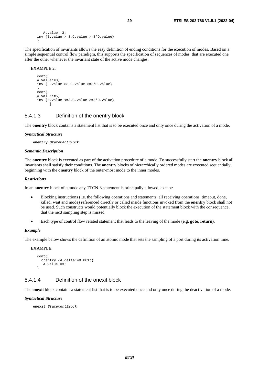```
\Delta value:=3;
inv {B.value > 3,C.value >=3*D.value} 
}
```
The specification of invariants allows the easy definition of ending conditions for the execution of modes. Based on a simple sequential control flow paradigm, this supports the specification of sequences of modes, that are executed one after the other whenever the invariant state of the active mode changes.

EXAMPLE 2:

```
contA.value:=3; 
inv {B.value >3,C.value >=3*D.value} 
} 
cont{ 
A.value:=5; 
inv {B.value <=3,C.value >=3*D.value} 
       }
```
#### 5.4.1.3 Definition of the onentry block

The **onentry** block contains a statement list that is to be executed once and only once during the activation of a mode.

#### *Syntactical Structure*

**onentry** *StatementBlock* 

#### *Semantic Description*

The **onentry** block is executed as part of the activation procedure of a mode. To successfully start the **onentry** block all invariants shall satisfy their conditions. The **onentry** blocks of hierarchically ordered modes are executed sequentially, beginning with the **onentry** block of the outer-most mode to the inner modes.

#### *Restrictions*

In an **onentry** block of a mode any TTCN-3 statement is principally allowed, except:

- Blocking instructions (i.e. the following operations and statements: all receiving operations, timeout, done, killed, wait and mode) referenced directly or called inside functions invoked from the **onentry** block shall not be used. Such constructs would potentially block the execution of the statement block with the consequence, that the next sampling step is missed.
- Each type of control flow related statement that leads to the leaving of the mode (e.g. **goto**, **return**).

#### *Example*

The example below shows the definition of an atomic mode that sets the sampling of a port during its activation time.

#### EXAMPLE:

```
cont{ 
   onentry {A.delta:=0.001;} 
   A-value:=3;}
```
#### 5.4.1.4 Definition of the onexit block

The **onexit** block contains a statement list that is to be executed once and only once during the deactivation of a mode.

#### *Syntactical Structure*

```
onexit StatementBlock
```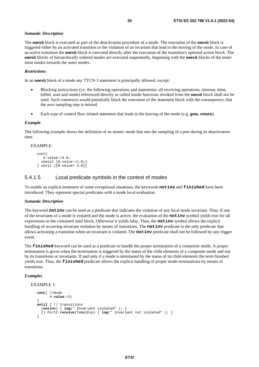#### <span id="page-29-0"></span>*Semantic Description*

The **onexit** block is executed as part of the deactivation procedure of a mode. The execution of the **onexit** block is triggered either by an activated transition or the violation of an invariant that lead to the leaving of the mode. In case of an active transition the **onexit** block is executed directly after the execution of the transition's optional action block. The **onexit** blocks of hierarchically ordered modes are executed sequentially, beginning with the **onexit** blocks of the innermost modes towards the outer modes.

#### *Restrictions*

In an **onexit** block of a mode any TTCN-3 statement is principally allowed, except:

- Blocking instructions (i.e. the following operations and statements: all receiving operations, timeout, done, killed, wait and mode) referenced directly or called inside functions invoked from the **onexit** block shall not be used. Such constructs would potentially block the execution of the statement block with the consequence, that the next sampling step is missed.
- Each type of control flow related statement that leads to the leaving of the mode (e.g. **goto**, **return**).

#### *Example*

The following example shows the definition of an atomic mode that sets the sampling of a port during its deactivation time.

#### EXAMPLE:

```
cont{ 
    A.value:=3.0; 
   onexit {A.value:=1.0;} 
\{ until \{[B.value> 3.0]\}
```
#### 5.4.1.5 Local predicate symbols in the context of modes

To enable an explicit treatment of some exceptional situations, the keywords **notinv** and **finished** have been introduced. They represent special predicates with a mode local evaluation.

#### *Semantic Description*

The keyword **notinv** can be used as a predicate that indicates the violation of any local mode invariant. Thus, if one of the invariants of a mode is violated and the mode is active, the evaluation of the **notinv** symbol yields true for all expressions in the contained until block. Otherwise it yields false. Thus, the **notinv** symbol allows the explicit handling of occurring invariant violation by means of transitions. The **notinv** predicate is the only predicate that allows activating a transition when an invariant is violated. The **notinv** predicate shall not be followed by any trigger event.

The **finished** keyword can be used as a predicate to handle the proper termination of a composite mode. A proper termination is given when the termination is triggered by the status of the child elements of a composite mode and not by its transitions or invariants. If and only if a mode is terminated by the status of its child elements the term finished yields true. Thus, the **finished** predicate allows the explicit handling of proper mode terminations by means of transitions.

#### *Examples*

```
EXAMPLE 1:
```

```
cont{ //mode 
       A.value:=3; 
} 
until { // transitions 
   [notinv] { log(" Invariant violated" ); } 
   [] Port2.receive(TemplExp) { log(" Invariant not violated" ); } 
}
```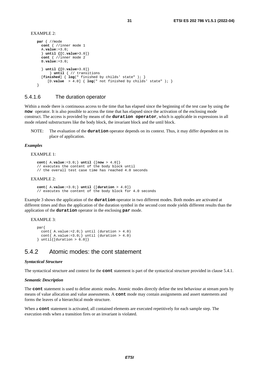```
EXAMPLE 2.
```

```
par { //mode 
   cont { //inner mode 1 
   A.value:=3.0; 
   } until {[C.value>3.0]} 
   cont { //inner mode 2 
   B.value:=3.0; 
   } until {[D.value>3.0]} 
       } until { // transitions 
   [finished] { log(" finished by childs' state" ); } 
      [D.value > 4.0] { log(" not finished by childs' state" ); } 
}
```
#### 5.4.1.6 The duration operator

Within a mode there is continuous access to the time that has elapsed since the beginning of the test case by using the **now** operator. It is also possible to access the time that has elapsed since the activation of the enclosing mode construct. The access is provided by means of the **duration operator**, which is applicable in expressions in all mode related substructures like the body block, the invariant block and the until block.

NOTE: The evaluation of the **duration** operator depends on its context. Thus, it may differ dependent on its place of application.

#### *Examples*

#### EXAMPLE 1:

**cont**{ A**.value**:=3.0;} **until** {[**now** > 4.0]} // executes the content of the body block until // the overall test case time has reached 4.0 seconds

#### EXAMPLE 2:

**cont**{ A**.value**:=3.0;} **until** {[**duration** > 4.0]} // executes the content of the body block for 4.0 seconds

Example 3 shows the application of the **duration** operator in two different modes. Both modes are activated at different times and thus the application of the duration symbol in the second cont mode yields different results than the application of the **duration** operator in the enclosing **par** mode.

#### EXAMPLE 3:

```
par{ 
  cont{ A.value:=2.0; } until (duration > 4.0)
  cont\{ A.value:=3.0; } until (duration > 4.0)
\} until{[duration > 6.0]}
```
### 5.4.2 Atomic modes: the cont statement

#### *Syntactical Structure*

The syntactical structure and context for the **cont** statement is part of the syntactical structure provided in clause 5.4.1.

#### *Semantic Description*

The **cont** statement is used to define atomic modes. Atomic modes directly define the test behaviour at stream ports by means of value allocation and value assessments. A **cont** mode may contain assignments and assert statements and forms the leaves of a hierarchical mode structure.

When a **cont** statement is activated, all contained elements are executed repetitively for each sample step. The execution ends when a transition fires or an invariant is violated.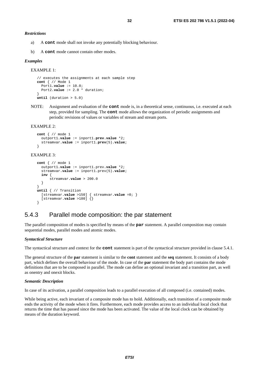<span id="page-31-0"></span>*Restrictions*

- a) A **cont** mode shall not invoke any potentially blocking behaviour.
- b) A **cont** mode cannot contain other modes.

#### *Examples*

```
EXAMPLE 1:
```

```
// executes the assignments at each sample step 
cont { // Mode 1 
   Port1.value := 10.0; 
   Port2.value := 2.0 * duration; 
} 
until (duration > 5.0)
```
NOTE: Assignment and evaluation of the **cont** mode is, in a theoretical sense, continuous, i.e. executed at each step, provided for sampling. The **cont** mode allows the organization of periodic assignments and periodic revisions of values or variables of stream and stream ports.

#### EXAMPLE 2:

```
cont { // mode 1 
   outport1.value := inport1.prev.value *2; 
   streamvar.value := inport1.prev(5).value; 
}
```
#### EXAMPLE 3:

```
cont { // mode 1 
   outport1.value := inport1.prev.value *2; 
   streamvar.value := inport1.prev(5).value; 
   inv { 
       streamvar.value > 200.0 
   } 
} 
until { // Transition 
   [streamvar.value >150] { streamvar.value =0; } 
   [streamvar.value >180] {} 
}
```
#### 5.4.3 Parallel mode composition: the par statement

The parallel composition of modes is specified by means of the **par** statement. A parallel composition may contain sequential modes, parallel modes and atomic modes.

#### *Syntactical Structure*

The syntactical structure and context for the **cont** statement is part of the syntactical structure provided in clause 5.4.1.

The general structure of the **par** statement is similar to the **cont** statement and the **seq** statement. It consists of a body part, which defines the overall behaviour of the mode. In case of the **par** statement the body part contains the mode definitions that are to be composed in parallel. The mode can define an optional invariant and a transition part, as well as onentry and onexit blocks.

#### *Semantic Description*

In case of its activation, a parallel composition leads to a parallel execution of all composed (i.e. contained) modes.

While being active, each invariant of a composite mode has to hold. Additionally, each transition of a composite mode ends the activity of the mode when it fires. Furthermore, each mode provides access to an individual local clock that returns the time that has passed since the mode has been activated. The value of the local clock can be obtained by means of the duration keyword.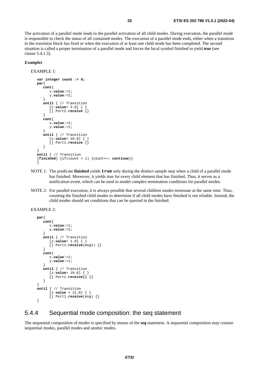<span id="page-32-0"></span>The activation of a parallel mode leads to the parallel activation of all child modes. During execution, the parallel mode is responsible to check the status of all contained modes. The execution of a parallel mode ends, either when a transition in the transition block has fired or when the execution of at least one child mode has been completed. The second situation is called a proper termination of a parallel mode and forces the local symbol finished to yield *true* (see clause 5.4.1.3).

#### *Examples*

```
EXAMPLE 1:
```

```
var integer count := 0; 
par{ 
    cont{ 
       x.value:=1; 
       y.value:=2; 
    } 
   until { // Transition 
       [z.value> 3.0] { } 
       [] Port2.receive {} 
    } 
    cont{ 
       x.value:=2; 
       y.value:=1; 
    } 
    until { // Transition 
       [z.value> 10.0] { } 
       [] Port1.receive {} 
    } 
} 
until { // Transition 
[\text{finished}] \{ \text{if}(\text{count} > 1) \} \{\text{count++; continue}\}\}
```
- NOTE 1: The predicate **finished** yields **true** only during the distinct sample step when a child of a parallel mode has finished. Moreover, it yields true for every child element that has finished. Thus, it serves as a notification event, which can be used to model complex termination conditions for parallel modes.
- NOTE 2: For parallel execution, it is always possible that several children modes terminate at the same time. Thus, counting the finished child modes to determine if all child modes have finished is not reliable. Instead, the child modes should set conditions that can be queried in the finished.

```
EXAMPLE 2:
```

```
par{ 
   cont{ 
      x.value:=1; 
      y.value:=2; 
   } 
   until { // Transition 
      [z.value> 1.0] { } 
      [] Port1.receive(msg1) {} 
   } 
   cont{ 
      x.value:=2; 
      y.value:=1; 
   } 
   until { // Transition 
      [z.value> 10.0] { } 
      [] Port1.receive() {} 
   } 
} 
until { // Transition 
      [z.value > 11.0] { } 
      [] Port1.receive(msg) {} 
}
```
### 5.4.4 Sequential mode composition: the seq statement

The sequential composition of modes is specified by means of the *seq* statement. A sequential composition may contain sequential modes, parallel modes and atomic modes.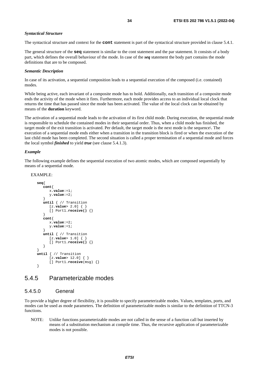#### <span id="page-33-0"></span>*Syntactical Structure*

The syntactical structure and context for the **cont** statement is part of the syntactical structure provided in clause 5.4.1.

The general structure of the **seq** statement is similar to the cont statement and the par statement. It consists of a body part, which defines the overall behaviour of the mode. In case of the *seq* statement the body part contains the mode definitions that are to be composed.

#### *Semantic Description*

In case of its activation, a sequential composition leads to a sequential execution of the composed (i.e. contained) modes.

While being active, each invariant of a composite mode has to hold. Additionally, each transition of a composite mode ends the activity of the mode when it fires. Furthermore, each mode provides access to an individual local clock that returns the time that has passed since the mode has been activated. The value of the local clock can be obtained by means of the **duration** keyword.

The activation of a sequential mode leads to the activation of its first child mode. During execution, the sequential mode is responsible to schedule the contained modes in their sequential order. Thus, when a child mode has finished, the target mode of the exit transition is activated. Per default, the target mode is the next mode is the sequence\. The execution of a sequential mode ends either when a transition in the transition block is fired or when the execution of the last child mode has been completed. The second situation is called a proper termination of a sequential mode and forces the local symbol *finished* to yield *true* (see clause 5.4.1.3).

#### *Example*

The following example defines the sequential execution of two atomic modes, which are composed sequentially by means of a sequential mode.

#### EXAMPLE:

```
seq{ 
   cont{ 
      x.value:=1; 
      y.value:=2; 
   } 
   until { // Transition 
      [z.value> 2.0] { } 
      [] Port1.receive() {} 
   } 
   cont{ 
      x.value:=2; 
      y.value:=1; 
   } 
   until { // Transition 
      [z.value> 1.0] { } 
      [] Port1.receive() {} 
   } 
} 
until { // Transition 
      [z.value> 12.0] { } 
      [] Port1.receive(msg) {} 
}
```
### 5.4.5 Parameterizable modes

#### 5.4.5.0 General

To provide a higher degree of flexibility, it is possible to specify parameterizable modes. Values, templates, ports, and modes can be used as mode parameters. The definition of parameterizable modes is similar to the definition of TTCN-3 functions.

NOTE: Unlike functions parameterizable modes are not called in the sense of a function call but inserted by means of a substitution mechanism at compile time. Thus, the recursive application of parameterizable modes is not possible.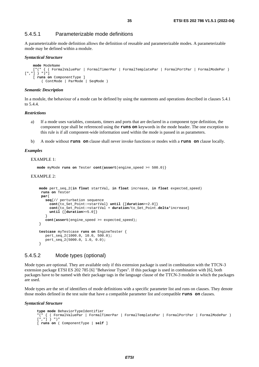#### <span id="page-34-0"></span>5.4.5.1 Parameterizable mode definitions

A parameterizable mode definition allows the definition of reusable and parameterizable modes. A parameterizable mode may be defined within a module.

#### *Syntactical Structure*

```
mode ModeName 
    ["(" { ( FormalValuePar | FormalTimerPar | FormalTemplatePar | FormalPortPar | FormalModePar ) 
[","] } ")"] 
    [ runs on ComponentType ] 
         ( ContMode | ParMode | SeqMode )
```
#### *Semantic Description*

In a module, the behaviour of a mode can be defined by using the statements and operations described in clauses 5.4.1 to 5.4.4.

#### *Restrictions*

- a) If a mode uses variables, constants, timers and ports that are declared in a component type definition, the component type shall be referenced using the **runs on** keywords in the mode header. The one exception to this rule is if all component-wide information used within the mode is passed in as parameters.
- b) A mode without **runs on** clause shall never invoke functions or modes with a **runs on** clause locally.

#### *Examples*

#### EXAMPLE 1:

**mode** myMode **runs on** Tester **cont**{**assert**(engine\_speed >= 500.0)}

#### EXAMPLE 2:

```
mode pert_seq_2(in float startVal, in float increase, in float expected_speed) 
  runs on Tester 
  par{ 
    seq{// perturbation sequence 
      cont{to_Set_Point:=startVal} until {[duration>=2.0]} 
       cont{to_Set_Point:=startVal + duration/to_Set_Point.delta*increase} 
      until {[duration>=5.0]} 
 } 
    cont{assert(engine_speed >= expected_speed); 
 } 
testcase myTestcase runs on EngineTester { 
    pert_seq_2(1000.0, 10.0, 500.0); 
    pert_seq_2(5000.0, 1.0, 0.0); 
 }
```
#### 5.4.5.2 Mode types (optional)

Mode types are optional. They are available only if this extension package is used in combination with the TTCN-3 extension package ETSI ES 202 785 [[6\]](#page-5-0) "Behaviour Types". If this package is used in combination with [\[6](#page-5-0)], both packages have to be named with their package tags in the language clause of the TTCN-3 module in which the packages are used.

Mode types are the set of identifiers of mode definitions with a specific parameter list and runs on clauses. They denote those modes defined in the test suite that have a compatible parameter list and compatible **runs on** clauses.

*Syntactical Structure* 

```
type mode BehaviorTypeIdentifier 
"(" { ( FormalValuePar | FormalTimerPar | FormalTemplatePar | FormalPortPar | FormalModePar ) 
[","] } ")" 
[ runs on ( ComponentType | self ]
```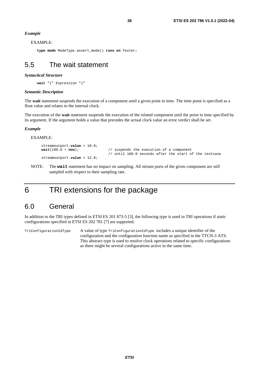#### <span id="page-35-0"></span>*Example*

```
EXAMPLE:
```
**type mode** ModeType assert\_mode() **runs on** Tester;

### 5.5 The wait statement

#### *Syntactical Structure*

**wait** "(" *Expression* ")"

#### *Semantic Description*

The **wait** statement suspends the execution of a component until a given point in time. The time point is specified as a float value and relates to the internal clock.

The execution of the **wait** statement suspends the execution of the related component until the point in time specified by its argument. If the argument holds a value that precedes the actual clock value an error verdict shall be set.

#### *Example*

EXAMPLE:

```
 streamoutport.value = 10.0; 
wait(100.0 + now); // suspends the execution of a component 
 streamoutport.value = 12.0;
```
NOTE: The **wait** statement has no impact on sampling. All stream ports of the given component are still sampled with respect to their sampling rate.

## 6 TRI extensions for the package

### 6.0 General

In addition to the TRI types defined in ETSI ES 201 873-5 [\[3](#page-5-0)], the following type is used in TRI operations if static configurations specified in ETSI ES 202 781 [[7\]](#page-5-0) are supported.

TriConfigurationIdType A value of type TriConfigurationIdType includes a unique identifier of the configuration and the configuration function name as specified in the TTCN-3 ATS. This abstract type is used to resolve clock operations related to specific configurations as there might be several configurations active in the same time.

// until 100.0 seconds after the start of the testcase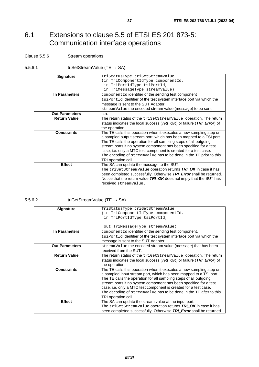### <span id="page-36-0"></span>6.1 Extensions to clause 5.5 of ETSI ES 201 873-5: Communication interface operations

#### Clause 5.5.6 Stream operations

#### 5.5.6.1 triSetStreamValue (TE  $\rightarrow$  SA)

| <b>Signature</b>      | TriStatusType triSetStreamValue                                       |  |
|-----------------------|-----------------------------------------------------------------------|--|
|                       | (in TriComponentIdType componentId,                                   |  |
|                       | in TriPortIdType tsiPortId,                                           |  |
|                       | in TriMessageType streamValue)                                        |  |
| In Parameters         | component Id identifier of the sending test component                 |  |
|                       | tsiPortId identifier of the test system interface port via which the  |  |
|                       | message is sent to the SUT Adapter.                                   |  |
|                       | streamValue the encoded stream value (message) to be sent.            |  |
| <b>Out Parameters</b> | n.a.                                                                  |  |
| <b>Return Value</b>   | The return status of the triSetStreamValue operation. The return      |  |
|                       | status indicates the local success (TRI_OK) or failure (TRI_Error) of |  |
|                       | the operation.                                                        |  |
| <b>Constraints</b>    | The TE calls this operation when it executes a new sampling step on   |  |
|                       | a sampled output stream port, which has been mapped to a TSI port.    |  |
|                       | The TE calls the operation for all sampling steps of all outgoing     |  |
|                       | stream ports if no system component has been specified for a test     |  |
|                       | case, i.e. only a MTC test component is created for a test case.      |  |
|                       | The encoding of streamValue has to be done in the TE prior to this    |  |
|                       | TRI operation call.                                                   |  |
| <b>Effect</b>         | The SA can update the message to the SUT.                             |  |
|                       | The triSetStreamValue operation returns TRI_OK in case it has         |  |
|                       | been completed successfully. Otherwise TRI_Error shall be returned.   |  |
|                       | Notice that the return value TRI OK does not imply that the SUT has   |  |
|                       | received streamValue.                                                 |  |

5.5.6.2  $\qquad \qquad \text{trigets}$  triGetStreamValue (TE  $\rightarrow$  SA)

| <b>Signature</b>      | TriStatusType triGetStreamValue                                       |  |
|-----------------------|-----------------------------------------------------------------------|--|
|                       | (in TriComponentIdType componentId,                                   |  |
|                       | in TriPortIdType tsiPortId,                                           |  |
|                       |                                                                       |  |
|                       | out TriMessageType streamValue)                                       |  |
| In Parameters         | component Id identifier of the sending test component.                |  |
|                       | tsiPortId identifier of the test system interface port via which the  |  |
|                       | message is sent to the SUT Adapter.                                   |  |
| <b>Out Parameters</b> | streamValue the encoded stream value (message) that has been          |  |
|                       | received from the SUT.                                                |  |
| <b>Return Value</b>   | The return status of the triGetStreamValue operation. The return      |  |
|                       | status indicates the local success (TRI_OK) or failure (TRI_Error) of |  |
|                       | the operation.                                                        |  |
| <b>Constraints</b>    | The TE calls this operation when it executes a new sampling step on   |  |
|                       | a sampled input stream port, which has been mapped to a TSI port.     |  |
|                       | The TE calls the operation for all sampling steps of all outgoing     |  |
|                       | stream ports if no system component has been specified for a test     |  |
|                       | case, i.e. only a MTC test component is created for a test case.      |  |
|                       | The decoding of streamValue has to be done in the TE after to this    |  |
|                       | TRI operation call.                                                   |  |
| <b>Effect</b>         | The SA can update the stream value at the input port.                 |  |
|                       | The triGetStreamValue operation returns TRI_OK in case it has         |  |
|                       | been completed successfully. Otherwise TRI Error shall be returned.   |  |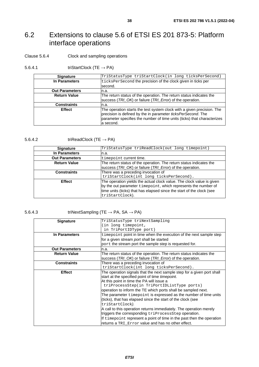## <span id="page-37-0"></span>6.2 Extensions to clause 5.6 of ETSI ES 201 873-5: Platform interface operations

#### Clause 5.6.4 Clock and sampling operations

#### 5.6.4.1 triStartClock (TE  $\rightarrow$  PA)

| <b>Signature</b>      | TriStatusType triStartClock(in long ticksPerSecond)                                                                                                                                                                             |  |
|-----------------------|---------------------------------------------------------------------------------------------------------------------------------------------------------------------------------------------------------------------------------|--|
| In Parameters         | ticksPerSecond the precision of the clock given in ticks per                                                                                                                                                                    |  |
|                       | second.                                                                                                                                                                                                                         |  |
| <b>Out Parameters</b> | n.a.                                                                                                                                                                                                                            |  |
| <b>Return Value</b>   | The return status of the operation. The return status indicates the<br>success (TRI_OK) or failure (TRI_Error) of the operation.                                                                                                |  |
| <b>Constraints</b>    | n.a.                                                                                                                                                                                                                            |  |
| <b>Effect</b>         | The operation starts the test system clock with a given precision. The<br>precision is defined by the in parameter ticksPerSecond. The<br>parameter specifies the number of time units (ticks) that characterizes<br>la second. |  |

#### 5.6.4.2 triReadClock (TE  $\rightarrow$  PA)

| <b>Signature</b>      | TriStatusType triReadClock(out long timepoint)                                                                                                                                                                                      |
|-----------------------|-------------------------------------------------------------------------------------------------------------------------------------------------------------------------------------------------------------------------------------|
| In Parameters         | n.a.                                                                                                                                                                                                                                |
| <b>Out Parameters</b> | timepoint current time.                                                                                                                                                                                                             |
| <b>Return Value</b>   | The return status of the operation. The return status indicates the<br>success (TRI_OK) or failure (TRI_Error) of the operation.                                                                                                    |
| <b>Constraints</b>    | There was a preceding invocation of<br>triStartClock(int long ticksPerSecond).                                                                                                                                                      |
| <b>Effect</b>         | The operation yields the actual clock value. The clock value is given<br>by the out parameter timepoint, which represents the number of<br>time units (ticks) that has elapsed since the start of the clock (see<br>triStartClock). |

5.6.4.3 triNextSampling (TE  $\rightarrow$  PA, SA  $\rightarrow$  PA)

| <b>Signature</b>      | TriStatusType triNextSampling                                                                                                    |  |
|-----------------------|----------------------------------------------------------------------------------------------------------------------------------|--|
|                       | in long timepoint,                                                                                                               |  |
|                       | in TriPortIDType port)                                                                                                           |  |
| In Parameters         | timepoint point in time when the execution of the next sample step                                                               |  |
|                       | for a given stream port shall be started                                                                                         |  |
|                       | port the stream port the sample step is requested for.                                                                           |  |
| <b>Out Parameters</b> | n.a.                                                                                                                             |  |
| <b>Return Value</b>   | The return status of the operation. The return status indicates the<br>success (TRI_OK) or failure (TRI_Error) of the operation. |  |
| <b>Constraints</b>    | There was a preceding invocation of                                                                                              |  |
|                       | triStartClock(int long ticksPerSecond).                                                                                          |  |
| <b>Effect</b>         | The operation signals that the next sample step for a given port shall                                                           |  |
|                       | start at the specified point of time <i>timepoint</i> .                                                                          |  |
|                       | At this point in time the PA will issue a                                                                                        |  |
|                       | triProcessStep(in TriPortIDListType ports)                                                                                       |  |
|                       | operation to inform the TE which ports shall be sampled next.                                                                    |  |
|                       | The parameter timepoint is expressed as the number of time units                                                                 |  |
|                       | (ticks), that has elapsed since the start of the clock (see                                                                      |  |
|                       | triStartClock).                                                                                                                  |  |
|                       | A call to this operation returns immediately. The operation merely                                                               |  |
|                       | triggers the corresponding triProcessStep operation.                                                                             |  |
|                       | If time point represent a point of time in the past then the operation                                                           |  |
|                       | returns a TRI Error value and has no other effect.                                                                               |  |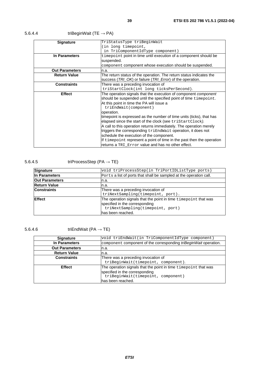| <b>Signature</b>      | TriStatusType triBeginWait                                             |  |
|-----------------------|------------------------------------------------------------------------|--|
|                       | (in long timepoint,                                                    |  |
|                       | in TriComponentIdType component)                                       |  |
| In Parameters         | timepoint point in time until execution of a component should be       |  |
|                       | suspended.                                                             |  |
|                       | component component whose execution should be suspended.               |  |
| <b>Out Parameters</b> | n.a.                                                                   |  |
| <b>Return Value</b>   | The return status of the operation. The return status indicates the    |  |
|                       | success (TRI_OK) or failure (TRI_Error) of the operation.              |  |
| <b>Constraints</b>    | There was a preceding invocation of                                    |  |
|                       | triStartClock(int long ticksPerSecond).                                |  |
| <b>Effect</b>         | The operation signals that the execution of component <i>component</i> |  |
|                       | should be suspended until the specified point of time timepoint.       |  |
|                       | At this point in time the PA will issue a                              |  |
|                       | triEndWait(component)                                                  |  |
|                       | operation.                                                             |  |
|                       | timepoint is expressed as the number of time units (ticks), that has   |  |
|                       | elapsed since the start of the clock (see triStartClock).              |  |
|                       | A call to this operation returns immediately. The operation merely     |  |
|                       | triggers the corresponding triEndWait operation, it does not           |  |
|                       | schedule the execution of the component.                               |  |
|                       | If time point represent a point of time in the past then the operation |  |
|                       | returns a TRI Error value and has no other effect.                     |  |

### 5.6.4.4 triBeginWait (TE  $\rightarrow$  PA)

### 5.6.4.5 triProcessStep (PA  $\rightarrow$  TE)

| Signature             | void triProcessStep(in TriPortIDListType ports)                                                                                                            |  |
|-----------------------|------------------------------------------------------------------------------------------------------------------------------------------------------------|--|
| In Parameters         | Ports a list of ports that shall be sampled at the operation call.                                                                                         |  |
| <b>Out Parameters</b> | n.a.                                                                                                                                                       |  |
| <b>Return Value</b>   | n.a.                                                                                                                                                       |  |
| <b>Constraints</b>    | There was a preceding invocation of<br>triNextSampling(timepoint, port).                                                                                   |  |
| <b>IEffect</b>        | The operation signals that the point in time timepoint that was<br>specified in the corresponding<br>triNextSampling(timepoint, port)<br>has been reached. |  |

### 5.6.4.6 triEndWait (PA  $\rightarrow$  TE)

| <b>Signature</b>      | void triEndWait(in TriComponentIdType component)                 |  |
|-----------------------|------------------------------------------------------------------|--|
| In Parameters         | component component of the corresponding triBeginWait operation. |  |
| <b>Out Parameters</b> | n.a.                                                             |  |
| <b>Return Value</b>   | In.a.                                                            |  |
| <b>Constraints</b>    | There was a preceding invocation of                              |  |
|                       | triBeginWait(timepoint, component).                              |  |
| <b>Effect</b>         | The operation signals that the point in time timepoint that was  |  |
|                       | specified in the corresponding                                   |  |
|                       | triBeginWait(timepoint, component)                               |  |
|                       | lhas been reached.                                               |  |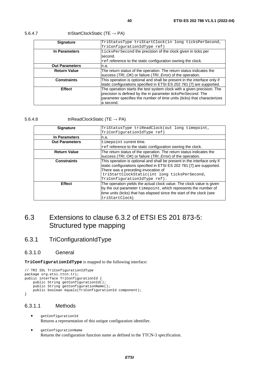| <b>Signature</b>      | TriStatusType triStartClock(in long ticksPerSecond,                      |  |
|-----------------------|--------------------------------------------------------------------------|--|
|                       | TriConfigurationIdType ref)                                              |  |
| In Parameters         | ticksPerSecond the precision of the clock given in ticks per             |  |
|                       | second.                                                                  |  |
|                       | ref reference to the static configuration owning the clock.              |  |
| <b>Out Parameters</b> | n.a.                                                                     |  |
| <b>Return Value</b>   | The return status of the operation. The return status indicates the      |  |
|                       | success (TRI_OK) or failure (TRI_Error) of the operation.                |  |
| <b>Constraints</b>    | This operation is optional and shall be present in the interface only if |  |
|                       | static configurations specified in ETSI ES 202 781 [7] are supported.    |  |
| <b>Effect</b>         | The operation starts the test system clock with a given precision. The   |  |
|                       | precision is defined by the in parameter ticksPerSecond. The             |  |
|                       | parameter specifies the number of time units (ticks) that characterizes  |  |
|                       | a second.                                                                |  |

#### <span id="page-39-0"></span>5.6.4.7 triStartClockStatic (TE  $\rightarrow$  PA)

#### 5.6.4.8 triReadClockStatic (TE  $\rightarrow$  PA)

| <b>Signature</b>      | TriStatusType triReadClock(out long timepoint,                                                                                                                                                                                                                           |  |
|-----------------------|--------------------------------------------------------------------------------------------------------------------------------------------------------------------------------------------------------------------------------------------------------------------------|--|
|                       | TriConfigurationIdType ref)                                                                                                                                                                                                                                              |  |
| In Parameters         | In.a.                                                                                                                                                                                                                                                                    |  |
| <b>Out Parameters</b> | timepoint current time.                                                                                                                                                                                                                                                  |  |
|                       | ref reference to the static configuration owning the clock.                                                                                                                                                                                                              |  |
| <b>Return Value</b>   | The return status of the operation. The return status indicates the<br>success (TRI_OK) or failure (TRI_Error) of the operation.                                                                                                                                         |  |
| <b>Constraints</b>    | This operation is optional and shall be present in the interface only if<br>static configurations specified in ETSI ES 202 781 [7] are supported.<br>There was a preceding invocation of<br>triStartClockStatic(int long ticksPerSecond,<br>TriConfigurationIdType ref). |  |
| <b>Effect</b>         | The operation yields the actual clock value. The clock value is given<br>by the out parameter timepoint, which represents the number of<br>time units (ticks) that has elapsed since the start of the clock (see<br>triStartClock).                                      |  |

### 6.3 Extensions to clause 6.3.2 of ETSI ES 201 873-5: Structured type mapping

### 6.3.1 TriConfigurationIdType

#### 6.3.1.0 General

**TriConfigurationIdType** is mapped to the following interface:

```
// TRI IDL TriConfigurationIdType 
package org.etsi.ttcn.tri; 
public interface TriConfigurationId { 
    public String getConfigurationId(); 
    public String getConfigurationName();
    public boolean equals(TriConfigurationId component); 
}
```
#### 6.3.1.1 Methods

- getConfigurationId Returns a representation of this unique configuration identifier.
- getConfigurationName Returns the configuration function name as defined in the TTCN-3 specification.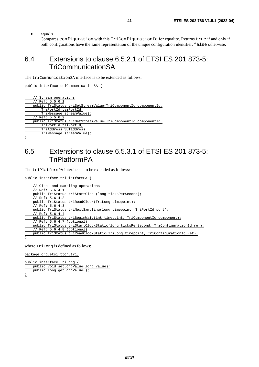<span id="page-40-0"></span>• equals

Compares configuration with this TriConfigurationId for equality. Returns true if and only if both configurations have the same representation of the unique configuration identifier, false otherwise.

### 6.4 Extensions to clause 6.5.2.1 of ETSI ES 201 873-5: TriCommunicationSA

The triCommunicationSA interface is to be extended as follows:

```
public interface triCommunicationSA { 
: 10 PM
     : 
      Stream operations
     // Ref: 5.5.6.1 
     public TriStatus triSetStreamValue(TriComponentId componentId, 
         TriPortId tsiPortId, 
         TriMessage streamValue); 
     // Ref: 5.5.6.2 
     public TriStatus triGetStreamValue(TriComponentId componentId, 
         TriPortId tsiPortId, 
         TriAddress SUTaddress, 
         TriMessage streamValue); 
}
```
### 6.5 Extensions to clause 6.5.3.1 of ETSI ES 201 873-5: **TriPlatformPA**

The triPlatformPA interface is to be extended as follows:

```
public interface triPlatformPA { 
: 10 PM
       Clock and sampling operations
     // Ref: 5.6.4.1 
     public TriStatus triStartClock(long ticksPerSecond); 
      Ref: 5.6.4.2
     public TriStatus triReadClock(TriLong timepoint);
```

```
 // Ref: 5.6.4.3 
 public TriStatus triNextSampling(long timepoint, TriPortId port); 
 // Ref: 5.6.4.4
```

```
 public TriStatus triBeginWait(int timepoint, TriComponentId component);
```

```
 // Ref: 5.6.4.7 (optional)
```

```
public TriStatus triStartClockStatic(long ticksPerSecond, TriConfigurationId ref);
 // Ref: 5.6.4.8 (optional)
```

```
 public TriStatus triReadClockStatic(TriLong timepoint, TriConfigurationId ref);
```
}

where TriLong is defined as follows:

package org.etsi.ttcn.tri;

public interface TriLong { public void setLongValue(long value); public long getLongValue();

}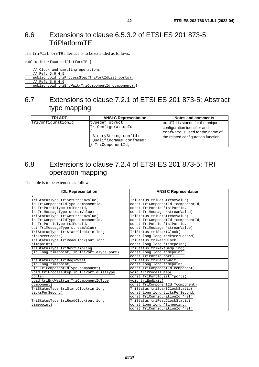### <span id="page-41-0"></span>6.6 Extensions to clause 6.5.3.2 of ETSI ES 201 873-5: TriPlatformTE

The triPlatformTE interface is to be extended as follows:

public interface triPlatformTE {

: 10 PM // Clock and sampling operations // Ref: 5.6.4.5

public void triProcessStep(TriPortIdList ports);

// Ref: 5.6.4.6

public void triEndWait(TriComponentId component); }

### 6.7 Extensions to clause 7.2.1 of ETSI ES 201 873-5: Abstract type mapping

| <b>TRI ADT</b>     | <b>ANSI C Representation</b>                                                                               | Notes and comments                                                                                                                         |
|--------------------|------------------------------------------------------------------------------------------------------------|--------------------------------------------------------------------------------------------------------------------------------------------|
| TriConfigurationId | typedef struct<br>TriConfigurationId<br>BinaryString confId;<br>OualifiedName confName;<br>TriComponentId; | confid is stands for the unique<br>configuration identifier and<br>confName is used for the name of<br>the related configuration function. |

### 6.8 Extensions to clause 7.2.4 of ETSI ES 201 873-5: TRI operation mapping

The table is to be extended as follows:

| <b>IDL Representation</b>                                             | <b>ANSI C Representation</b>       |  |  |
|-----------------------------------------------------------------------|------------------------------------|--|--|
|                                                                       |                                    |  |  |
| TriStatusType triSetStreamValue(                                      | TriStatus triSetStreamValue(       |  |  |
| in TriComponentIdType componentId,                                    | const TriComponentId *componentId, |  |  |
| in TriPortIdType tsiPortId,                                           | const TriPortId *tsiPortId,        |  |  |
| in TriMessageType streamValue)                                        | const TriMessage *streamValue)     |  |  |
| TriStatusType triGetStreamValue(                                      | TriStatus triGetStreamValue(       |  |  |
| in TriComponentIdType componentId,                                    | const TriComponentId *componentId, |  |  |
| in TriPortIdType tsiPortId,                                           | const TriPortId *tsiPortId,        |  |  |
| out TriMessageType streamValue)                                       | const TriMessage *streamValue)     |  |  |
| TriStatusType triStartClock(in long                                   | TriStatus triStartClock(           |  |  |
| ticksPerSecond)                                                       | const long long ticksPerSecond)    |  |  |
| TriStatusType triReadClock(out long                                   | TriStatus triReadClock(            |  |  |
| timepoint)<br>const long long *timepoint)                             |                                    |  |  |
| TriStatusType triNextSampling                                         | TriStatus triNextSampling(         |  |  |
| (in long timepoint, in TriPortIdType port)                            | const long long timepoint,         |  |  |
|                                                                       | const TriPortId port)              |  |  |
| TriStatusType triBeginWait                                            | TriStatus triBeginWait(            |  |  |
| (in long timepoint,                                                   | const long long timepoint,         |  |  |
| in TriComponentIdType component)                                      | const TriComponentId component)    |  |  |
| void triProcessStep(in TriPortIdListType                              | void triProcessStep(               |  |  |
| ports)                                                                | const TriPortIdList *ports)        |  |  |
| void triEndWait(in TriComponentIdType                                 | void triEndWait(                   |  |  |
| component)                                                            | const TriComponentId *component)   |  |  |
| TriStatusType triStartClock(in long<br>TriStatus triStartClockStatic( |                                    |  |  |
| const long long ticksPerSecond,<br>ticksPerSecond)                    |                                    |  |  |
|                                                                       | const TriConfigurationId *ref)     |  |  |
| TriStatusType triReadClock(out long                                   | TriStatus triReadClockStatic(      |  |  |
| timepoint)                                                            | const long long *timepoint,        |  |  |
|                                                                       | const TriConfigurationId *ref)     |  |  |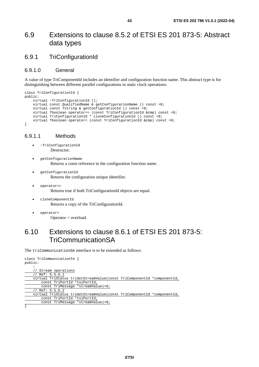### <span id="page-42-0"></span>6.9 Extensions to clause 8.5.2 of ETSI ES 201 873-5: Abstract data types

### 6.9.1 TriConfigurationId

#### 6.9.1.0 General

A value of type TriComponentId includes an identifier and configuration function name. This abstract type is for distinguishing between different parallel configurations in static clock operations:

```
class TriConfigurationId { 
public: 
     virtual ~TriConfigurationId (); 
     virtual const QualifiedName & getConfigurationName () const =0; 
     virtual const Tstring & getConfigurationId () const =0; 
     virtual Tboolean operator== (const TriConfigurationId &cmp) const =0; 
     virtual TriConfigurationId * cloneConfigurationId () const =0; 
     virtual Tboolean operator< (const TriConfigurationId &cmp) const =0; 
}
```
#### 6.9.1.1 Methods

- ~TriConfigurationId Destructor.
- getConfigurationName Returns a const reference to the configuration function name.
- getConfigurationId Returns the configuration unique identifier.
- operator== Returns true if both TriConfigurationId objects are equal.
- cloneComponentId Returns a copy of the TriConfigurationId.
- operator< Operator < overload.

### 6.10 Extensions to clause 8.6.1 of ETSI ES 201 873-5: TriCommunicationSA

The triCommunicationSA interface is to be extended as follows:

```
class TriCommunicationTe { 
public: 
: 10 Mill
     // Stream operations 
     // Ref: 5.5.6.1 
     virtual TriStatus triSetStreamValue(const TriComponentId *componentId, 
         const TriPortId *tsiPortId, 
         const TriMessage *streamValue)=0; 
     // Ref: 5.5.6.2 
 virtual TriStatus triGetStreamValue(const TriComponentId *componentId, 
 const TriPortId *tsiPortId, 
         const TriMessage *streamValue)=0; 
}
```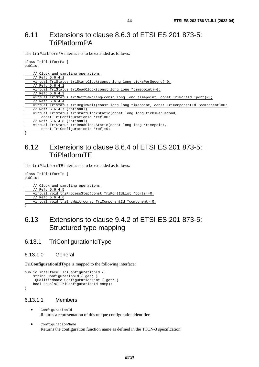### <span id="page-43-0"></span>6.11 Extensions to clause 8.6.3 of ETSI ES 201 873-5: **TriPlatformPA**

The triPlatformPA interface is to be extended as follows:

| class TriPlatformPa {                                                                         |
|-----------------------------------------------------------------------------------------------|
| public:                                                                                       |
|                                                                                               |
| // Clock and sampling operations                                                              |
| // Ref: $5.6.4.1$                                                                             |
| virtual TriStatus triStartClock(const long long ticksPerSecond)=0;                            |
| // Ref: $5.6.4.2$                                                                             |
| virtual TriStatus triReadClock(const long long *timepoint)=0;                                 |
| // Ref: $5.6.4.3$                                                                             |
| virtual TriStatus triNextSampling(const long long timepoint, const TriPortId *port)=0;        |
| // Ref: $5.6.4.4$                                                                             |
| virtual TriStatus triBeginWait(const long long timepoint, const TriComponentId *component)=0; |
| // Ref: 5.6.4.7 (optional)                                                                    |
| virtual TriStatus triStartClockStatic(const long long ticksPerSecond,                         |
| const $TriconfigurationId *ref)=0;$                                                           |
| $\frac{1}{2}$ Ref: 5.6.4.8 (optional)                                                         |
| virtual TriStatus triReadClockStatic(const long long *timepoint,                              |
| const TriConfigurationId *ref)=0;                                                             |
|                                                                                               |

### 6.12 Extensions to clause 8.6.4 of ETSI ES 201 873-5: TriPlatformTE

The triPlatformTE interface is to be extended as follows:

```
class TriPlatformTe { 
public: 
: 10 pm
     // Clock and sampling operations 
     // Ref: 5.6.4.5 
     virtual void triProcessStep(const TriPortIdList *ports)=0; 
     // Ref: 5.6.4.6 
    virtual void triEndWait(const TriComponentId *component)=0;
```

```
}
```
### 6.13 Extensions to clause 9.4.2 of ETSI ES 201 873-5: Structured type mapping

### 6.13.1 TriConfigurationIdType

#### 6.13.1.0 General

**TriConfigurationIdType** is mapped to the following interface:

```
public interface ITriConfigurationId { 
     string ConfigurationId { get; } 
     IQualifiedName ConfigurationName { get; } 
     bool Equals(ITriConfigurationId comp); 
}
```
#### 6.13.1.1 Members

- ConfigurationId Returns a representation of this unique configuration identifier.
- ConfigurationName Returns the configuration function name as defined in the TTCN-3 specification.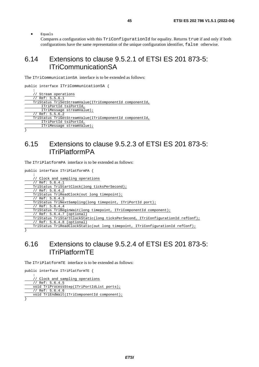<span id="page-44-0"></span>• Equals

Compares a configuration with this TriConfigurationId for equality. Returns true if and only if both configurations have the same representation of the unique configuration identifier, false otherwise.

### 6.14 Extensions to clause 9.5.2.1 of ETSI ES 201 873-5: ITriCommunicationSA

The ITriCommunicationSA interface is to be extended as follows:

```
public interface ITriCommunicationSA { 
: 10 PM
       Stream operations
     // Ref: 5.5.6.1 
     TriStatus TriSetStreamValue(ITriComponentId componentId, 
         ITriPortId tsiPortId, 
         ITriMessage streamValue); 
     // Ref: 5.5.6.2 
     TriStatus TriGetStreamValue(ITriComponentId componentId, 
         ITriPortId tsiPortId, 
         ITriMessage streamValue);
```
}

### 6.15 Extensions to clause 9.5.2.3 of ETSI ES 201 873-5: ITriPlatformPA

The ITriPlatformPA interface is to be extended as follows:

public interface ITriPlatformPA {

```
: 10 pm
     // Clock and sampling operations 
    // Ref: 5.6.4.1 
    TriStatus TriStartClock(long ticksPerSecond); 
     // Ref: 5.6.4.2 
    TriStatus TriReadClock(out long timepoint); 
     // Ref: 5.6.4.3 
    TriStatus TriNextSampling(long timepoint, ITriPortId port); 
    // Ref: 5.6.4.4 
     TriStatus TriBeginWait(long timepoint, ITriComponentId component); 
     // Ref: 5.6.4.7 (optional) 
     TriStatus TriStartClockStatic(long ticksPerSecond, ITriConfigurationId refConf); 
     // Ref: 5.6.4.8 (optional) 
    TriStatus TriReadClockStatic(out long timepoint, ITriConfigurationId refConf);
```
}

### 6.16 Extensions to clause 9.5.2.4 of ETSI ES 201 873-5: ITriPlatformTE

The ITriPlatformTE interface is to be extended as follows:

```
public interface ITriPlatformTE { 
: 10 PM
     // Clock and sampling operations 
     // Ref: 5.6.4.5 
     void TriProcessStep(ITriPortIdList ports); 
     // Ref: 5.6.4.6 
     void TriEndWait(ITriComponentId component); 
}
```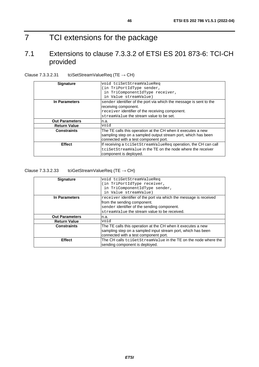# <span id="page-45-0"></span>7 TCI extensions for the package

### 7.1 Extensions to clause 7.3.3.2 of ETSI ES 201 873-6: TCI-CH provided

| <b>Signature</b>      | void tciSetStreamValueReq                                          |  |
|-----------------------|--------------------------------------------------------------------|--|
|                       | in TriPortIdType sender,                                           |  |
|                       | in TriComponentIdType receiver,                                    |  |
|                       | in Value streamValue)                                              |  |
| In Parameters         | sender identifier of the port via which the message is sent to the |  |
|                       | receiving component.                                               |  |
|                       | receiver identifier of the receiving component.                    |  |
|                       | streamValue the stream value to be set.                            |  |
| <b>Out Parameters</b> | n.a.                                                               |  |
| <b>Return Value</b>   | void                                                               |  |
| <b>Constraints</b>    | The TE calls this operation at the CH when it executes a new       |  |
|                       | sampling step on a sampled output stream port, which has been      |  |
|                       | connected with a test component port.                              |  |
| <b>Effect</b>         | If receiving a tcisetStreamValueReq operation, the CH can call     |  |
|                       | tciSetStreamValue in the TE on the node where the receiver         |  |
|                       | component is deployed.                                             |  |

Clause  $7.3.3.2.31$  tciSetStreamValueReq (TE  $\rightarrow$  CH)

Clause 7.3.3.2.33 tciGetStreamValueReq (TE  $\rightarrow$  CH)

| <b>Signature</b>      | void tciGetStreamValueReq                                         |  |
|-----------------------|-------------------------------------------------------------------|--|
|                       | in TriPortIdType receiver,                                        |  |
|                       | in TriComponentIdType sender,                                     |  |
|                       | in Value streamValue)                                             |  |
| In Parameters         | receiver identifier of the port via which the message is received |  |
|                       | from the sending component.                                       |  |
|                       | sender identifier of the sending component.                       |  |
|                       | streamValue the stream value to be received.                      |  |
| <b>Out Parameters</b> | n.a.                                                              |  |
| <b>Return Value</b>   | void                                                              |  |
| <b>Constraints</b>    | The TE calls this operation at the CH when it executes a new      |  |
|                       | sampling step on a sampled input stream port, which has been      |  |
|                       | connected with a test component port.                             |  |
| <b>Effect</b>         | The CH calls tciGetStreamValue in the TE on the node where the    |  |
|                       | sending component is deployed.                                    |  |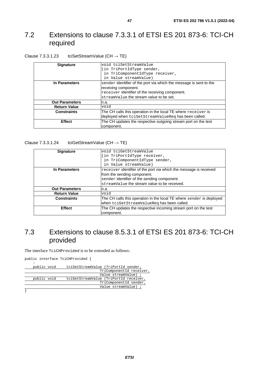### <span id="page-46-0"></span>7.2 Extensions to clause 7.3.3.1 of ETSI ES 201 873-6: TCI-CH required

| Clause 7.3.3.1.23 | tciSetStreamValue (CH $\rightarrow$ TE) |
|-------------------|-----------------------------------------|
|                   |                                         |

| <b>Signature</b>      | void tciSetStreamValue                                             |  |
|-----------------------|--------------------------------------------------------------------|--|
|                       | in TriPortIdType sender,                                           |  |
|                       | in TriComponentIdType receiver,                                    |  |
|                       | in Value streamValue)                                              |  |
| In Parameters         | sender identifier of the port via which the message is sent to the |  |
|                       | receiving component.                                               |  |
|                       | receiver identifier of the receiving component.                    |  |
|                       | streamValue the stream value to be set.                            |  |
| <b>Out Parameters</b> | n.a.                                                               |  |
| <b>Return Value</b>   | void                                                               |  |
| <b>Constraints</b>    | The CH calls this operation in the local TE where $receiver$ is    |  |
|                       | deployed when tciSetStreamValueReq has been called.                |  |
| <b>Effect</b>         | The CH updates the respective outgoing stream port on the test     |  |
|                       | component.                                                         |  |

Clause 7.3.3.1.24 tciGetStreamValue (CH  $\rightarrow$  TE)

| <b>Signature</b>      | void tciGetStreamValue                                                       |  |
|-----------------------|------------------------------------------------------------------------------|--|
|                       | (in TriPortIdType receiver,                                                  |  |
|                       | in TriComponentIdType sender,                                                |  |
|                       | in Value streamValue)                                                        |  |
| In Parameters         | receiver identifier of the port via which the message is received            |  |
|                       | from the sending component.                                                  |  |
|                       | sender identifier of the sending component.                                  |  |
|                       | streamValue the stream value to be received.                                 |  |
| <b>Out Parameters</b> | In.a.                                                                        |  |
| <b>Return Value</b>   | void                                                                         |  |
| <b>Constraints</b>    | The CH calls this operation in the local TE where $s$ ender is deployed      |  |
|                       | when tciGetStreamValueReq has been called.                                   |  |
| <b>Effect</b>         | The CH updates the respective incoming stream port on the test<br>component. |  |

### 7.3 Extensions to clause 8.5.3.1 of ETSI ES 201 873-6: TCI-CH provided

The interface TciCHProvided is to be extended as follows:

public interface TciCHProvided {

| public void | tciSetStreamValue (TriPortId sender,   |
|-------------|----------------------------------------|
|             | TriComponentId receiver,               |
|             | Value streamValue) ;                   |
| public void | tciGetStreamValue (TriPortId receiver, |
|             | TriComponentId sender,                 |
|             | Value streamValue) ;                   |
|             |                                        |

}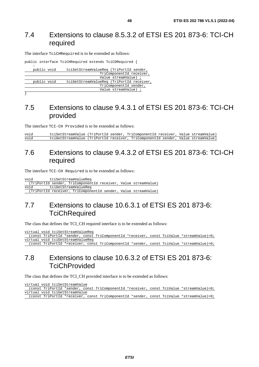### <span id="page-47-0"></span>7.4 Extensions to clause 8.5.3.2 of ETSI ES 201 873-6: TCI-CH required

The interface TciCHRequired is to be extended as follows:

|                        |             | public interface TciCHRequired extends TciCDRequired { |
|------------------------|-------------|--------------------------------------------------------|
|                        |             |                                                        |
|                        | public void | tciSetStreamValueReq (TriPortId sender,                |
|                        |             | TriComponentId receiver,                               |
|                        |             | Value streamValue) ;                                   |
|                        | public void | tciGetStreamValueReq (TriPortId receiver,              |
| TriComponentId sender, |             |                                                        |
|                        |             | Value streamValue) ;                                   |

}

### 7.5 Extensions to clause 9.4.3.1 of ETSI ES 201 873-6: TCI-CH provided

The interface TCI-CH Provided is to be extended as follows:

void tciSetStreamValue (TriPortId sender, TriComponentId receiver, Value streamValue) void tciGetStreamValue (TriPortId receiver, TriComponentId sender, Value streamValue)

### 7.6 Extensions to clause 9.4.3.2 of ETSI ES 201 873-6: TCI-CH required

The interface TCI-CH Required is to be extended as follows:

void tciSetStreamValueReq (TriPortId sender, TriComponentId receiver, Value streamValue) void tciGetStreamValueReq (TriPortId receiver, TriComponentId sender, Value streamValue)

### 7.7 Extensions to clause 10.6.3.1 of ETSI ES 201 873-6: **TciChRequired**

The class that defines the TCI\_CH required interface is to be extended as follows:

virtual void tciSetStreamValueReq (const TriPortId \*sender, const TriComponentId \*receiver, const TciValue \*streamValue)=0; virtual void tciGetStreamValueReq (const TriPortId \*receiver, const TriComponentId \*sender, const TciValue \*streamValue)=0;

### 7.8 Extensions to clause 10.6.3.2 of ETSI ES 201 873-6: **TciChProvided**

The class that defines the TCI\_CH provided interface is to be extended as follows:

virtual void tciSetStreamValue (const TriPortId \*sender, const TriComponentId \*receiver, const TciValue \*streamValue)=0; virtual void tciGetStreamValue (const TriPortId \*receiver, const TriComponentId \*sender, const TciValue \*streamValue)=0;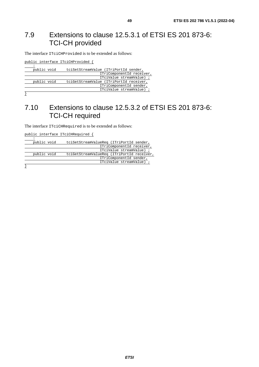### <span id="page-48-0"></span>7.9 Extensions to clause 12.5.3.1 of ETSI ES 201 873-6: TCI-CH provided

The interface ITciCHProvided is to be extended as follows:

public interface ITciCHProvided { : 10 PM public void tciSetStreamValue (ITriPortId sender, ITriComponentId receiver, ITciValue streamValue) ; public void tciGetStreamValue (ITriPortId receiver, ITriComponentId sender, ITciValue streamValue) ;

#### }

### 7.10 Extensions to clause 12.5.3.2 of ETSI ES 201 873-6: TCI-CH required

The interface ITciCHRequired is to be extended as follows:

public interface ITciCHRequired { :

| public void | tciSetStreamValueReq (ITriPortId sender,   |
|-------------|--------------------------------------------|
|             | ITriComponentId receiver,                  |
|             | ITciValue streamValue) ;                   |
| public void | tciGetStreamValueReq (ITriPortId receiver, |
|             | ITriComponentId sender,                    |
|             | ITciValue streamValue) ;                   |
|             |                                            |

}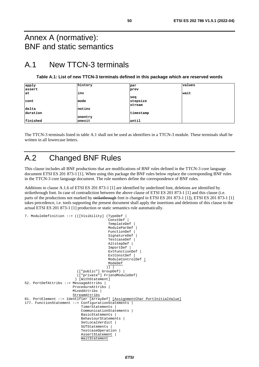### <span id="page-49-0"></span>Annex A (normative): BNF and static semantics

### A.1 New TTCN-3 terminals

#### **Table A.1: List of new TTCN-3 terminals defined in this package which are reserved words**

| apply    | history | par        | values |
|----------|---------|------------|--------|
| assert   |         | prev       |        |
| lat      | inv     |            | wait   |
|          |         | <b>seq</b> |        |
| cont     | mode    | stepsize   |        |
|          |         | stream     |        |
| delta    | notinv  |            |        |
| duration |         | timestamp  |        |
|          | onentry |            |        |
| finished | onexit  | until      |        |

The TTCN-3 terminals listed in table A.1 shall not be used as identifiers in a TTCN-3 module. These terminals shall be written in all lowercase letters.

### A.2 Changed BNF Rules

This clause includes all BNF productions that are modifications of BNF rules defined in the TTCN-3 core language document ETSI ES 201 873-1 [[1\]](#page-5-0). When using this package the BNF rules below replace the corresponding BNF rules in the TTCN-3 core language document. The rule numbers define the correspondence of BNF rules.

Additions to clause A.1.6 of ETSI ES 201 873-1 [\[1](#page-5-0)] are identified by underlined font, deletions are identified by strikethrough font. In case of contradiction between the above clause of ETSI ES 201 873-1 [[1\]](#page-5-0) and this clause (i.e. parts of the productions not marked by strikethrough font is changed in ETSI ES 201 873-1 [\[1](#page-5-0)]), ETSI ES 201 873-1 [\[1](#page-5-0)] takes precedence, i.e. tools supporting the present document shall apply the insertions and deletions of this clause to the actual ETSI ES 201 873-1 [\[1\]](#page-5-0) production or static semantics rule automatically.

```
7. ModuleDefinition ::= (([Visibility] (TypeDef | 
                                          ConstDef<sup>1</sup>
                                          TemplateDef |
                                           ModuleParDef | 
                                           FunctionDef | 
                                           SignatureDef | 
                                           TestcaseDef | 
                                           AltstepDef | 
                                           ImportDef | 
                                          ExtFunctionDef |
                                          ExtConstDef |
                                           ModuleControlDef | 
                                           ModeDef 
)) \vert (["public"] GroupDef) | 
                           (["private"] FriendModuleDef) 
                          ) [WithStatement] 
52. PortDefAttribs ::= MessageAttribs | 
                         ProcedureAttribs | 
                         MixedAttribs | 
                         StreamAttribs 
81. PortElement ::= Identifier [ArrayDef] [AssignmentChar PortInitialValue]
177. FunctionStatement ::= ConfigurationStatements |
                             TimerStatements | 
                             CommunicationStatements | 
                             BasicStatements | 
                             BehaviourStatements | 
                            SetLocalVerdict |
                             SUTStatements | 
                             TestcaseOperation | 
                            AssertStatement |
                             WaitStatement
```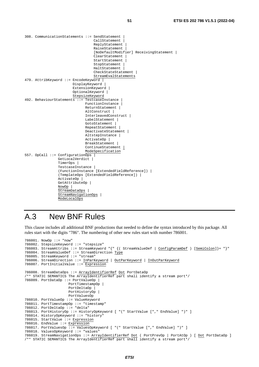```
308. CommunicationStatements ::= SendStatement | 
                                      CallStatement | 
                                    ReplyStatement
                                      RaiseStatement | 
                                      [NoDefaultModifier] ReceivingStatement | 
                                      ClearStatement | 
                                     StartStatement
                                      StopStatement | 
                                      HaltStatement | 
                                     CheckStateStatement
                                      StreamEvalStatements 
479. AttribKeyword ::= EncodeKeyword |
                          DisplayKeyword | 
                          ExtensionKeyword | 
                          OptionalKeyword | 
                          StepsizeKeyword 
492. BehaviourStatements ::= TestcaseInstance | 
                                 FunctionInstance | 
                                 ReturnStatement | 
                                 AltConstruct | 
                                 InterleavedConstruct | 
                                LabelStatement |
                                GotoStatement |
                                 RepeatStatement | 
                                 DeactivateStatement | 
                                 AltstepInstance | 
                                 ActivateOp | 
                                 BreakStatement | 
                                 ContinueStatement | 
                                 ModeSpecification 
557. OpCall ::= ConfigurationOps | 
                 GetLocalVerdict
                  TimerOps | 
                  TestcaseInstance | 
                   (FunctionInstance [ExtendedFieldReference]) | 
                  (TemplateOps [ExtendedFieldReference]) | 
                  ActivateOp | 
                  GetAttributeOp | 
                  NowOp | 
                  StreamDataOps | 
                  StreamNavigationOps | 
                  ModeLocalOps
```
## A.3 New BNF Rules

This clause includes all additional BNF productions that needed to define the syntax introduced by this package. All rules start with the digits "786". The numbering of other new rules start with number 786001.

```
786001. NowOp ::= "now" 
786002. StepsizeKeyword ::= "stepsize" 
786003. StreamAttribs ::= StreamKeyword "{" {( StreamValueDef | ConfigParamDef ) [SemiColon]}+ "}" 
786004. StreamValueDef ::= StreamDirection Type
786005. StreamKeyword ::= "stream" 
786006. StreamDirection ::= InParKeyword | OutParKeyword | InOutParKeyword 
786007. PortInitialValue ::= Expression 
786008. StreamDataOps ::= ArrayIdentifierRef Dot PortDataOp
/** STATIC SEMANTICS The ArrayIdentifierRef part shall identify a stream port*/ 
786009. PortDataOp ::= PortValueOp | 
                      PortTimestampOp | 
                      PortDeltaOp | 
                      PortHistoryOp | 
                      PortValuesOp 
786010. PortValueOp ::= ValueKeyword 
786011. PortTimestampOp ::= "timestamp" 
786012. PortDeltaOp ::= "delta" 
786013. PortHistoryOp ::= HistoryOpKeyword [ "(" StartValue ["," EndValue] ")" ] 
786014. HistoryOpKeyword ::= "history" 
786015. StartValue ::= Expression
786016. EndValue ::= Expression 
786017. PortValuesOp ::= ValuesOpKeyword [ "(" StartValue ["," EndValue] ")" ] 
786018. ValuesOpKeyword ::= "values" 
786019. StreamNavigationOps ::= ArrayIdentifierRef Dot ( PortPrevOp | PortAtOp ) [ Dot PortDataOp ] 
/** STATIC SEMANTICS The ArrayIdentifierRef part shall identify a stream port*/
```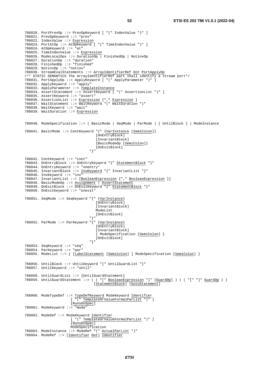```
786020. PortPrevOp ::= PrevOpKeyword [ "(" IndexValue ")" ] 
786021. PrevOpKeyword ::= "prev" 
786022. IndexValue ::= Expression 
786023. PortAtOp ::= AtOpKeyword [ "(" TimeIndexValue ")" ] 
786024. AtOpKeyword ::= "at" 
786025. TimeIndexValue ::= Expression 
786026. ModeLocalOps ::= DurationOp | FinishedOp | NotinvOp 
786027. DurationOp ::= "duration" 
786028. FinishedOp ::= "finished" 
786029. NotinvOp ::= "notinv" 
786030. StreamEvalStatements ::= ArrayIdentifierRef Dot PortApplyOp 
/** STATIC SEMANTICS The ArrayIdentifierRef part shall identify a stream port*/ 
786031. PortApplyOp ::= ApplyKeyword [ "(" ApplyParameter ")" ] 
786032. ApplyKeyword ::= "apply" 
786033. ApplyParameter ::= TemplateInstance 
786034. AssertStatement ::= AssertKeyword [ "(" AssertionList ")" ] 
786035. AssertKeyword ::= "assert" 
786036. AssertionList ::= Expression {"," Expression } 
786037. WaitStatement ::= WaitKeyword "(" WaitDuration ")" 
786038. WaitKeyword ::= "wait" 
786039. WaitDuration ::= Expression
786040. ModeSpecification ::= ( BasicMode | SeqMode | ParMode ) [ UntilBlock ] | ModeInstance 
786041. BasicMode ::= ContKeyword "{" {VarInstance [SemiColon]}
                                  [OnEntryBlock]
                                    [InvariantBlock] 
                                    {BasicModeOp [SemiColon]} 
                                [OnExitBlock]<br>"<sup>}"</sup>
 "}" 
786042. ContKeyword ::= "cont" 
786043. OnEntryBlock ::= OnEntryKeyword "{" StatementBlock "}" 
786044. OnEntryKeyword ::= "onentry" 
786045. InvariantBlock ::= InvKeyword "{" InvariantList "}" 
786046. InvKeyword ::="inv"786047. InvariantList ::= [BooleanExpression {"," BooleanExpression }] 
786048. BasicModeOp ::= Assignment | AssertStatement 
786049. OnExitBlock ::= OnExitKeyword "{" StatementBlock "}" 
786050. OnExitKeyword ::= "onexit" 
786051. SeqMode ::= SeqKeyword "{" {VarInstance} 
                                    [OnEntryBlock] 
                                   [InvariantBlock] 
                                   ModeList 
                                 [OnExitBlock] 
 "}" 
786052. ParMode ::= ParKeyword "{" {VarInstance} 
                                   [OnEntryBlock] 
                                  [InvariantBlock]
                                    { ModeSpecification [SemiColon] } 
                                [OnExitBlock]<br>"<sup>}"</sup>
 "}" 
786053. SeqKeyword ::= "seq" 
786054. ParKeyword ::= "par" 
786055. ModeList ::= { [LabelStatement [SemiColon] ] ModeSpecification [SemiColon] } 
786056. UntilBlock ::= UntilKeyword "{" UntilGuardList "}" 
786057. UntilKeyword ::= "until" 
786058. UntilGuardList ::= {UntilGuardStatement} 
786059. UntilGuardStatement ::= ( ( "[" BooleanExpression "]" [GuardOp] ) | ( "[" "]" GuardOp ) )
                                  [StatementBlock] [GotoStatement] 
786060. ModeTypeDef ::= TypeDefKeyword ModeKeyword Identifier
                      [ ^{\prime\prime} (" TemplateOrValueFormalParList ")"
                       [RunsOnSpec] 
786061. ModeKeyword ::= "mode" 
786062. ModeDef ::= ModeKeyword Identifier 
                       [ "(" TemplateOrValueFormalParList ")" ] 
                       [RunsOnSpec] 
                       ModeSpecification 
786063. ModeInstance ::= ModeRef "(" ActualParList ")" 
786064. ModeRef ::= [Identifier Dot] Identifier
```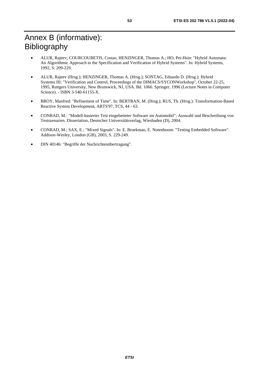# <span id="page-52-0"></span>Annex B (informative): Bibliography

- ALUR, Rajeev; COURCOUBETIS, Costas; HENZINGER, Thomas A.; HO, Pei-Hsin: "Hybrid Automata: An Algorithmic Approach to the Specification and Verification of Hybrid Systems". In: Hybrid Systems, 1992, S. 209-229.
- ALUR, Rajeev (Hrsg.); HENZINGER, Thomas A. (Hrsg.); SONTAG, Eduardo D. (Hrsg.): Hybrid Systems III: "Verification and Control, Proceedings of the DIMACS/SYCONWorkshop", October 22-25, 1995, Ruttgers University, New Brunswick, NJ, USA. Bd. 1066. Springer, 1996 (Lecture Notes in Computer Science). - ISBN 3-540-61155-X.
- BROY, Manfred: "Refinement of Time". In: BERTRAN, M. (Hrsg.); RUS, Th. (Hrsg.): Transformation-Based Reactive System Development, ARTS'97, TCS, 44 - 63.
- CONRAD, M.: "Modell-basierter Test eingebetteter Software im Automobil": Auswahl und Beschreibung von Testszenarien. Dissertation, Deutscher Universitätsverlag, Wiesbaden (D), 2004.
- CONRAD, M.; SAX, E.: "Mixed Signals". In: E. Broekman, E. Notenboom: "Testing Embedded Software". Addison-Wesley, London (GB), 2003, S. 229-249.
- DIN 40146: "Begriffe der Nachrichtenübertragung".